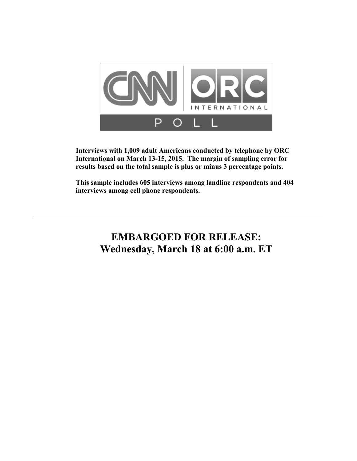

**Interviews with 1,009 adult Americans conducted by telephone by ORC International on March 13-15, 2015. The margin of sampling error for results based on the total sample is plus or minus 3 percentage points.** 

**This sample includes 605 interviews among landline respondents and 404 interviews among cell phone respondents.** 

# **EMBARGOED FOR RELEASE: Wednesday, March 18 at 6:00 a.m. ET**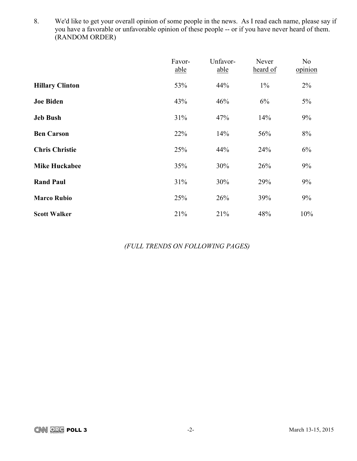8. We'd like to get your overall opinion of some people in the news. As I read each name, please say if you have a favorable or unfavorable opinion of these people -- or if you have never heard of them. (RANDOM ORDER)

|                        | Favor-<br>able | Unfavor-<br>able | Never<br>heard of | No<br>opinion |
|------------------------|----------------|------------------|-------------------|---------------|
| <b>Hillary Clinton</b> | 53%            | 44%              | $1\%$             | $2\%$         |
| <b>Joe Biden</b>       | 43%            | 46%              | 6%                | $5\%$         |
| <b>Jeb Bush</b>        | 31%            | 47%              | 14%               | 9%            |
| <b>Ben Carson</b>      | 22%            | 14%              | 56%               | 8%            |
| <b>Chris Christie</b>  | 25%            | 44%              | 24%               | 6%            |
| <b>Mike Huckabee</b>   | 35%            | 30%              | 26%               | 9%            |
| <b>Rand Paul</b>       | 31%            | 30%              | 29%               | 9%            |
| <b>Marco Rubio</b>     | 25%            | 26%              | 39%               | 9%            |
| <b>Scott Walker</b>    | 21%            | 21%              | 48%               | 10%           |

*(FULL TRENDS ON FOLLOWING PAGES)*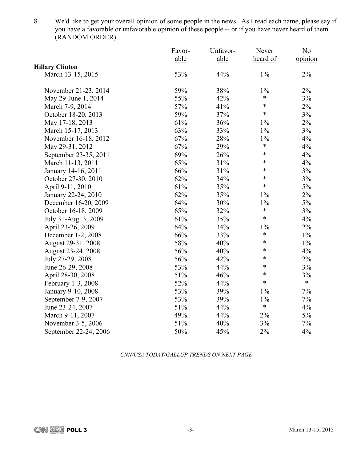8. We'd like to get your overall opinion of some people in the news. As I read each name, please say if you have a favorable or unfavorable opinion of these people -- or if you have never heard of them. (RANDOM ORDER)

|                        | Favor- | Unfavor- | Never    | N <sub>0</sub> |
|------------------------|--------|----------|----------|----------------|
|                        | able   | able     | heard of | opinion        |
| <b>Hillary Clinton</b> |        |          |          |                |
| March 13-15, 2015      | 53%    | 44%      | $1\%$    | $2\%$          |
| November 21-23, 2014   | 59%    | 38%      | $1\%$    | $2\%$          |
| May 29-June 1, 2014    | 55%    | 42%      | $\ast$   | 3%             |
| March 7-9, 2014        | 57%    | 41%      | $\ast$   | $2\%$          |
| October 18-20, 2013    | 59%    | 37%      | $\ast$   | $3\%$          |
| May 17-18, 2013        | 61%    | 36%      | $1\%$    | $2\%$          |
| March 15-17, 2013      | 63%    | 33%      | $1\%$    | 3%             |
| November 16-18, 2012   | 67%    | 28%      | $1\%$    | 4%             |
| May 29-31, 2012        | 67%    | 29%      | $\ast$   | 4%             |
| September 23-35, 2011  | 69%    | 26%      | $\ast$   | 4%             |
| March 11-13, 2011      | 65%    | 31%      | $\ast$   | 4%             |
| January 14-16, 2011    | 66%    | 31%      | $\ast$   | 3%             |
| October 27-30, 2010    | 62%    | 34%      | $\ast$   | 3%             |
| April 9-11, 2010       | 61%    | 35%      | $\ast$   | 5%             |
| January 22-24, 2010    | 62%    | 35%      | $1\%$    | 2%             |
| December 16-20, 2009   | 64%    | 30%      | $1\%$    | $5\%$          |
| October 16-18, 2009    | 65%    | 32%      | $\ast$   | 3%             |
| July 31-Aug. 3, 2009   | 61%    | 35%      | $\ast$   | 4%             |
| April 23-26, 2009      | 64%    | 34%      | $1\%$    | 2%             |
| December 1-2, 2008     | 66%    | 33%      | $\ast$   | $1\%$          |
| August 29-31, 2008     | 58%    | 40%      | $\ast$   | $1\%$          |
| August 23-24, 2008     | 56%    | 40%      | $\ast$   | 4%             |
| July 27-29, 2008       | 56%    | 42%      | $\ast$   | $2\%$          |
| June 26-29, 2008       | 53%    | 44%      | $\ast$   | 3%             |
| April 28-30, 2008      | 51%    | 46%      | $\ast$   | 3%             |
| February 1-3, 2008     | 52%    | 44%      | $\ast$   | $\ast$         |
| January 9-10, 2008     | 53%    | 39%      | $1\%$    | $7\%$          |
| September 7-9, 2007    | 53%    | 39%      | 1%       | $7\%$          |
| June 23-24, 2007       | 51%    | 44%      | $\ast$   | 4%             |
| March 9-11, 2007       | 49%    | 44%      | 2%       | $5\%$          |
| November 3-5, 2006     | 51%    | 40%      | 3%       | $7\%$          |
| September 22-24, 2006  | 50%    | 45%      | 2%       | 4%             |

*CNN/USA TODAY/GALLUP TRENDS ON NEXT PAGE*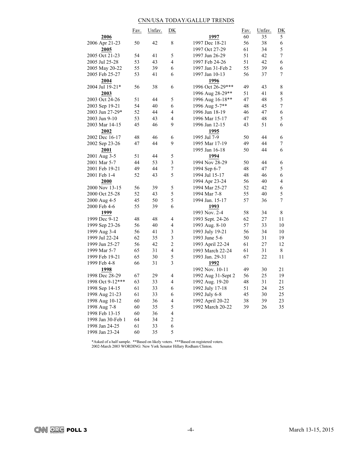### CNN/USA TODAY/GALLUP TRENDS

|                   | <u>Fav.</u> | Unfav. | D <sub>K</sub>          |                    | <u>Fav.</u> | Unfav. | <u>DK</u>      |
|-------------------|-------------|--------|-------------------------|--------------------|-------------|--------|----------------|
| 2006              |             |        |                         | 1997               | 60          | 35     | 5              |
| 2006 Apr 21-23    | 50          | 42     | 8                       | 1997 Dec 18-21     | 56          | 38     | 6              |
| 2005              |             |        |                         | 1997 Oct 27-29     | 61          | 34     | 5              |
| 2005 Oct 21-23    | 54          | 41     | 5                       | 1997 Jun 26-29     | 51          | 42     | 7              |
| 2005 Jul 25-28    | 53          | 43     | $\overline{\mathbf{4}}$ | 1997 Feb 24-26     | 51          | 42     | 6              |
| 2005 May 20-22    | 55          | 39     | 6                       | 1997 Jan 31-Feb 2  | 55          | 39     | 6              |
| 2005 Feb 25-27    | 53          | 41     | 6                       | 1997 Jan 10-13     | 56          | 37     | 7              |
| 2004              |             |        |                         | 1996               |             |        |                |
| 2004 Jul 19-21*   | 56          | 38     | 6                       | 1996 Oct 26-29***  | 49          | 43     | 8              |
| 2003              |             |        |                         | 1996 Aug 28-29**   | 51          | 41     | 8              |
| 2003 Oct 24-26    | 51          | 44     | 5                       | 1996 Aug 16-18**   | 47          | 48     | 5              |
| 2003 Sep 19-21    | 54          | 40     | 6                       | 1996 Aug 5-7**     | 48          | 45     | 7              |
| 2003 Jun 27-29*   | 52          | 44     | $\overline{4}$          | 1996 Jun 18-19     | 46          | 47     | 6              |
| 2003 Jun 9-10     | 53          | 43     | $\overline{4}$          | 1996 Mar 15-17     | 47          | 48     | 5              |
| 2003 Mar 14-15    | 45          | 46     | 9                       | 1996 Jan 12-15     | 43          | 51     | 6              |
| 2002              |             |        |                         | 1995               |             |        |                |
| 2002 Dec 16-17    | 48          | 46     | 6                       | 1995 Jul 7-9       | 50          | 44     | 6              |
| 2002 Sep 23-26    | 47          | 44     | 9                       | 1995 Mar 17-19     | 49          | 44     | 7              |
| 2001              |             |        |                         | 1995 Jan 16-18     | 50          | 44     | 6              |
| 2001 Aug 3-5      | 51          | 44     | 5                       | 1994               |             |        |                |
| 2001 Mar 5-7      | 44          | 53     | $\mathfrak{Z}$          | 1994 Nov 28-29     | 50          | 44     | 6              |
| 2001 Feb 19-21    | 49          | 44     | $\boldsymbol{7}$        | 1994 Sep 6-7       | 48          | 47     | 5              |
| 2001 Feb 1-4      | 52          | 43     | 5                       | 1994 Jul 15-17     | 48          | 46     | 6              |
| 2000              |             |        |                         | 1994 Apr 23-24     | 56          | 40     | $\overline{4}$ |
| 2000 Nov 13-15    | 56          | 39     | 5                       | 1994 Mar 25-27     | 52          | 42     | 6              |
| 2000 Oct 25-28    | 52          | 43     | 5                       | 1994 Mar 7-8       | 55          | 40     | 5              |
| 2000 Aug 4-5      | 45          | 50     | 5                       | 1994 Jan. 15-17    | 57          | 36     | 7              |
| 2000 Feb 4-6      | 55          | 39     | 6                       | 1993               |             |        |                |
| 1999              |             |        |                         | 1993 Nov. 2-4      | 58          | 34     | 8              |
| 1999 Dec 9-12     | 48          | 48     | 4                       |                    | 62          | 27     | 11             |
| 1999 Sep 23-26    | 56          | 40     | 4                       | 1993 Sept. 24-26   | 57          | 33     | 10             |
|                   | 56          | 41     | $\mathfrak{Z}$          | 1993 Aug. 8-10     | 56          | 34     | 10             |
| 1999 Aug 3-4      | 62          |        | $\mathfrak{Z}$          | 1993 July 19-21    | 50          |        |                |
| 1999 Jul 22-24    |             | 35     |                         | 1993 June 5-6      |             | 31     | 19             |
| 1999 Jun 25-27    | 56          | 42     | $\overline{c}$          | 1993 April 22-24   | 61          | 27     | 12             |
| 1999 Mar 5-7      | 65          | 31     | $\overline{\mathbf{4}}$ | 1993 March 22-24   | 61          | 31     | 8              |
| 1999 Feb 19-21    | 65          | 30     | 5                       | 1993 Jan. 29-31    | 67          | 22     | 11             |
| 1999 Feb 4-8      | 66          | 31     | 3                       | 1992               |             |        |                |
| 1998              |             |        |                         | 1992 Nov. 10-11    | 49          | 30     | 21             |
| 1998 Dec 28-29    | 67          | 29     | 4                       | 1992 Aug 31-Sept 2 | 56          | 25     | 19             |
| 1998 Oct 9-12***  | 63          | 33     | $\overline{\mathbf{4}}$ | 1992 Aug. 19-20    | 48          | 31     | 21             |
| 1998 Sep 14-15    | 61          | 33     | 6                       | 1992 July 17-18    | 51          | 24     | 25             |
| 1998 Aug 21-23    | 61          | 33     | 6                       | 1992 July 6-8      | 45          | 30     | 25             |
| 1998 Aug 10-12    | 60          | 36     | 4                       | 1992 April 20-22   | 38          | 39     | 23             |
| 1998 Aug 7-8      | 60          | 35     | 5                       | 1992 March 20-22   | 39          | 26     | 35             |
| 1998 Feb 13-15    | 60          | 36     | $\overline{\mathbf{4}}$ |                    |             |        |                |
| 1998 Jan 30-Feb 1 | 64          | 34     | $\boldsymbol{2}$        |                    |             |        |                |
| 1998 Jan 24-25    | 61          | 33     | 6                       |                    |             |        |                |
| 1998 Jan 23-24    | 60          | 35     | 5                       |                    |             |        |                |

\*Asked of a half sample. \*\*Based on likely voters. \*\*\*Based on registered voters. 2002-March 2003 WORDING: New York Senator Hillary Rodham Clinton.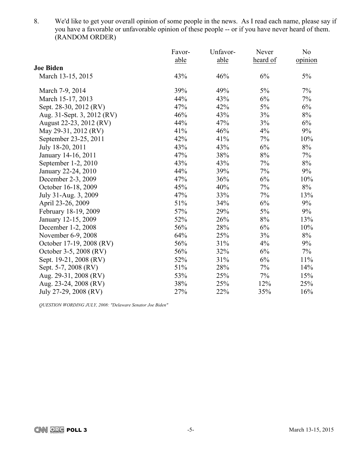8. We'd like to get your overall opinion of some people in the news. As I read each name, please say if you have a favorable or unfavorable opinion of these people -- or if you have never heard of them. (RANDOM ORDER)

|                            | Favor- | Unfavor- | Never    | N <sub>0</sub> |
|----------------------------|--------|----------|----------|----------------|
|                            | able   | able     | heard of | opinion        |
| <b>Joe Biden</b>           |        |          |          |                |
| March 13-15, 2015          | 43%    | 46%      | 6%       | 5%             |
| March 7-9, 2014            | 39%    | 49%      | 5%       | 7%             |
| March 15-17, 2013          | 44%    | 43%      | 6%       | $7\%$          |
| Sept. 28-30, 2012 (RV)     | 47%    | 42%      | 5%       | 6%             |
| Aug. 31-Sept. 3, 2012 (RV) | 46%    | 43%      | 3%       | $8\%$          |
| August 22-23, 2012 (RV)    | 44%    | 47%      | 3%       | 6%             |
| May 29-31, 2012 (RV)       | 41%    | 46%      | 4%       | 9%             |
| September 23-25, 2011      | 42%    | 41%      | 7%       | 10%            |
| July 18-20, 2011           | 43%    | 43%      | 6%       | 8%             |
| January 14-16, 2011        | 47%    | 38%      | $8\%$    | 7%             |
| September 1-2, 2010        | 43%    | 43%      | 7%       | 8%             |
| January 22-24, 2010        | 44%    | 39%      | 7%       | 9%             |
| December 2-3, 2009         | 47%    | 36%      | 6%       | 10%            |
| October 16-18, 2009        | 45%    | 40%      | 7%       | 8%             |
| July 31-Aug. 3, 2009       | 47%    | 33%      | 7%       | 13%            |
| April 23-26, 2009          | 51%    | 34%      | 6%       | 9%             |
| February 18-19, 2009       | 57%    | 29%      | 5%       | 9%             |
| January 12-15, 2009        | 52%    | 26%      | 8%       | 13%            |
| December 1-2, 2008         | 56%    | 28%      | 6%       | 10%            |
| November 6-9, 2008         | 64%    | 25%      | 3%       | 8%             |
| October 17-19, 2008 (RV)   | 56%    | 31%      | 4%       | 9%             |
| October 3-5, 2008 (RV)     | 56%    | 32%      | 6%       | $7\%$          |
| Sept. 19-21, 2008 (RV)     | 52%    | 31%      | 6%       | 11%            |
| Sept. 5-7, 2008 (RV)       | 51%    | 28%      | 7%       | 14%            |
| Aug. 29-31, 2008 (RV)      | 53%    | 25%      | 7%       | 15%            |
| Aug. 23-24, 2008 (RV)      | 38%    | 25%      | 12%      | 25%            |
| July 27-29, 2008 (RV)      | 27%    | 22%      | 35%      | 16%            |

*QUESTION WORDING JULY, 2008: "Delaware Senator Joe Biden"*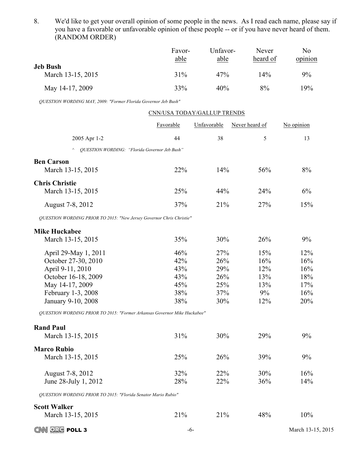8. We'd like to get your overall opinion of some people in the news. As I read each name, please say if you have a favorable or unfavorable opinion of these people -- or if you have never heard of them. (RANDOM ORDER)

|                               | Favor-<br>able | Unfavor-<br>able | Never<br>heard of | No<br>opinion |
|-------------------------------|----------------|------------------|-------------------|---------------|
| Jeb Bush<br>March 13-15, 2015 | 31%            | 47%              | 14%               | 9%            |
| May 14-17, 2009               | 33%            | 40%              | 8%                | 19%           |

*QUESTION WORDING MAY, 2009: "Former Florida Governor Jeb Bush"*

|                                                                                                                                                                                                                                   | CNN/USA TODAY/GALLUP TRENDS                   |                                               |                                              |                                               |
|-----------------------------------------------------------------------------------------------------------------------------------------------------------------------------------------------------------------------------------|-----------------------------------------------|-----------------------------------------------|----------------------------------------------|-----------------------------------------------|
|                                                                                                                                                                                                                                   | Favorable                                     | Unfavorable                                   | Never heard of                               | No opinion                                    |
| 2005 Apr 1-2                                                                                                                                                                                                                      | 44                                            | 38                                            | 5                                            | 13                                            |
| OUESTION WORDING: "Florida Governor Jeb Bush"                                                                                                                                                                                     |                                               |                                               |                                              |                                               |
| <b>Ben Carson</b><br>March 13-15, 2015                                                                                                                                                                                            | 22%                                           | 14%                                           | 56%                                          | 8%                                            |
| <b>Chris Christie</b><br>March 13-15, 2015                                                                                                                                                                                        | 25%                                           | 44%                                           | 24%                                          | 6%                                            |
| August 7-8, 2012                                                                                                                                                                                                                  | 37%                                           | 21%                                           | 27%                                          | 15%                                           |
| QUESTION WORDING PRIOR TO 2015: "New Jersey Governor Chris Christie"                                                                                                                                                              |                                               |                                               |                                              |                                               |
| <b>Mike Huckabee</b>                                                                                                                                                                                                              |                                               |                                               |                                              |                                               |
| March 13-15, 2015                                                                                                                                                                                                                 | 35%                                           | 30%                                           | 26%                                          | 9%                                            |
| April 29-May 1, 2011<br>October 27-30, 2010<br>April 9-11, 2010<br>October 16-18, 2009<br>May 14-17, 2009<br>February 1-3, 2008<br>January 9-10, 2008<br>QUESTION WORDING PRIOR TO 2015: "Former Arkansas Governor Mike Huckabee" | 46%<br>42%<br>43%<br>43%<br>45%<br>38%<br>38% | 27%<br>26%<br>29%<br>26%<br>25%<br>37%<br>30% | 15%<br>16%<br>12%<br>13%<br>13%<br>9%<br>12% | 12%<br>16%<br>16%<br>18%<br>17%<br>16%<br>20% |
| <b>Rand Paul</b><br>March 13-15, 2015                                                                                                                                                                                             | 31%                                           | 30%                                           | 29%                                          | 9%                                            |
| <b>Marco Rubio</b><br>March 13-15, 2015                                                                                                                                                                                           | 25%                                           | 26%                                           | 39%                                          | 9%                                            |
| August 7-8, 2012<br>June 28-July 1, 2012                                                                                                                                                                                          | 32%<br>28%                                    | 22%<br>22%                                    | 30%<br>36%                                   | 16%<br>14%                                    |
| QUESTION WORDING PRIOR TO 2015: "Florida Senator Mario Rubio"                                                                                                                                                                     |                                               |                                               |                                              |                                               |
| <b>Scott Walker</b><br>March 13-15, 2015                                                                                                                                                                                          | 21%                                           | 21%                                           | 48%                                          | 10%                                           |

**CNN ORG POLL 3** -6- March 13-15, 2015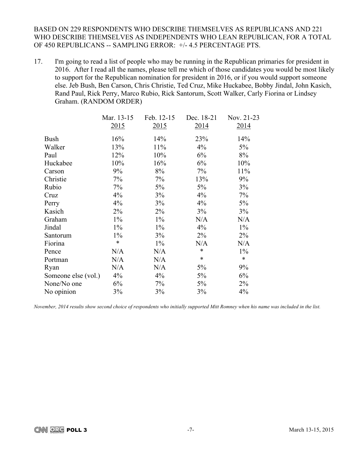BASED ON 229 RESPONDENTS WHO DESCRIBE THEMSELVES AS REPUBLICANS AND 221 WHO DESCRIBE THEMSELVES AS INDEPENDENTS WHO LEAN REPUBLICAN, FOR A TOTAL OF 450 REPUBLICANS -- SAMPLING ERROR: +/- 4.5 PERCENTAGE PTS.

17. I'm going to read a list of people who may be running in the Republican primaries for president in 2016. After I read all the names, please tell me which of those candidates you would be most likely to support for the Republican nomination for president in 2016, or if you would support someone else. Jeb Bush, Ben Carson, Chris Christie, Ted Cruz, Mike Huckabee, Bobby Jindal, John Kasich, Rand Paul, Rick Perry, Marco Rubio, Rick Santorum, Scott Walker, Carly Fiorina or Lindsey Graham. (RANDOM ORDER)

|                     | Mar. 13-15 | Feb. 12-15 | Dec. 18-21 | Nov. 21-23 |
|---------------------|------------|------------|------------|------------|
|                     | 2015       | 2015       | 2014       | 2014       |
| <b>Bush</b>         | 16%        | 14%        | 23%        | 14%        |
| Walker              | 13%        | 11%        | 4%         | 5%         |
| Paul                | 12%        | 10%        | 6%         | 8%         |
| Huckabee            | 10%        | 16%        | 6%         | 10%        |
| Carson              | 9%         | 8%         | 7%         | 11%        |
| Christie            | 7%         | 7%         | 13%        | $9\%$      |
| Rubio               | 7%         | 5%         | $5\%$      | 3%         |
| Cruz                | 4%         | 3%         | 4%         | 7%         |
| Perry               | 4%         | 3%         | $4\%$      | $5\%$      |
| Kasich              | $2\%$      | 2%         | 3%         | 3%         |
| Graham              | $1\%$      | $1\%$      | N/A        | N/A        |
| Jindal              | $1\%$      | $1\%$      | 4%         | $1\%$      |
| Santorum            | $1\%$      | 3%         | $2\%$      | $2\%$      |
| Fiorina             | $\ast$     | $1\%$      | N/A        | N/A        |
| Pence               | N/A        | N/A        | $\ast$     | $1\%$      |
| Portman             | N/A        | N/A        | $\ast$     | $\ast$     |
| Ryan                | N/A        | N/A        | $5\%$      | $9\%$      |
| Someone else (vol.) | 4%         | $4\%$      | 5%         | $6\%$      |
| None/No one         | 6%         | 7%         | $5\%$      | $2\%$      |
| No opinion          | 3%         | 3%         | 3%         | 4%         |

*November, 2014 results show second choice of respondents who initially supported Mitt Romney when his name was included in the list.*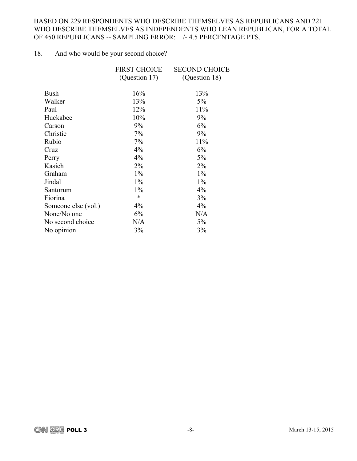# BASED ON 229 RESPONDENTS WHO DESCRIBE THEMSELVES AS REPUBLICANS AND 221 WHO DESCRIBE THEMSELVES AS INDEPENDENTS WHO LEAN REPUBLICAN, FOR A TOTAL OF 450 REPUBLICANS -- SAMPLING ERROR: +/- 4.5 PERCENTAGE PTS.

# 18. And who would be your second choice?

|                     | <b>FIRST CHOICE</b> | <b>SECOND CHOICE</b> |
|---------------------|---------------------|----------------------|
|                     | (Question 17)       | (Question 18)        |
| <b>Bush</b>         | 16%                 | 13%                  |
| Walker              | 13%                 | 5%                   |
| Paul                | 12%                 | 11%                  |
| Huckabee            | 10%                 | 9%                   |
| Carson              | 9%                  | 6%                   |
| Christie            | 7%                  | 9%                   |
| Rubio               | 7%                  | 11%                  |
| Cruz                | $4\%$               | 6%                   |
| Perry               | 4%                  | 5%                   |
| Kasich              | $2\%$               | $2\%$                |
| Graham              | $1\%$               | $1\%$                |
| Jindal              | $1\%$               | $1\%$                |
| Santorum            | $1\%$               | 4%                   |
| Fiorina             | $\ast$              | 3%                   |
| Someone else (vol.) | 4%                  | $4\%$                |
| None/No one         | 6%                  | N/A                  |
| No second choice    | N/A                 | 5%                   |
| No opinion          | 3%                  | 3%                   |
|                     |                     |                      |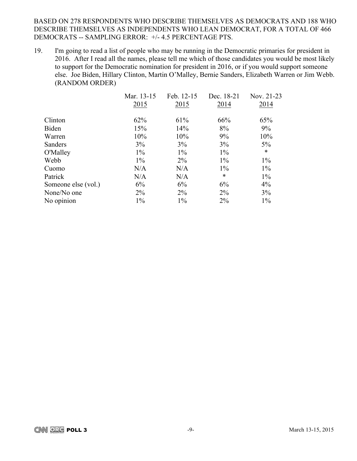# BASED ON 278 RESPONDENTS WHO DESCRIBE THEMSELVES AS DEMOCRATS AND 188 WHO DESCRIBE THEMSELVES AS INDEPENDENTS WHO LEAN DEMOCRAT, FOR A TOTAL OF 466 DEMOCRATS -- SAMPLING ERROR: +/- 4.5 PERCENTAGE PTS.

19. I'm going to read a list of people who may be running in the Democratic primaries for president in 2016. After I read all the names, please tell me which of those candidates you would be most likely to support for the Democratic nomination for president in 2016, or if you would support someone else. Joe Biden, Hillary Clinton, Martin O'Malley, Bernie Sanders, Elizabeth Warren or Jim Webb. (RANDOM ORDER)

|                     | Mar. 13-15 | Feb. 12-15 | Dec. 18-21 | Nov. 21-23 |
|---------------------|------------|------------|------------|------------|
|                     | 2015       | 2015       | 2014       | 2014       |
| Clinton             | 62%        | 61%        | 66%        | 65%        |
| Biden               | 15%        | 14%        | 8%         | 9%         |
| Warren              | 10%        | 10%        | 9%         | 10%        |
| Sanders             | 3%         | 3%         | 3%         | $5\%$      |
| O'Malley            | $1\%$      | $1\%$      | $1\%$      | $\ast$     |
| Webb                | $1\%$      | $2\%$      | $1\%$      | $1\%$      |
| Cuomo               | N/A        | N/A        | $1\%$      | $1\%$      |
| Patrick             | N/A        | N/A        | $\ast$     | $1\%$      |
| Someone else (vol.) | 6%         | 6%         | 6%         | 4%         |
| None/No one         | $2\%$      | $2\%$      | $2\%$      | 3%         |
| No opinion          | $1\%$      | $1\%$      | $2\%$      | $1\%$      |
|                     |            |            |            |            |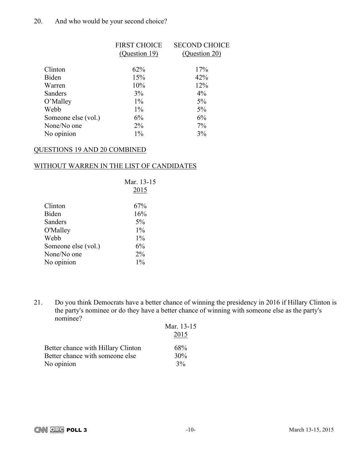# 20. And who would be your second choice?

|                     | <b>FIRST CHOICE</b> | <b>SECOND CHOICE</b> |
|---------------------|---------------------|----------------------|
|                     | (Question 19)       | (Question 20)        |
|                     |                     |                      |
| Clinton             | 62%                 | 17%                  |
| Biden               | 15%                 | 42%                  |
| Warren              | 10%                 | 12%                  |
| Sanders             | 3%                  | $4\%$                |
| O'Malley            | $1\%$               | 5%                   |
| Webb                | $1\%$               | 5%                   |
| Someone else (vol.) | 6%                  | 6%                   |
| None/No one         | $2\%$               | 7%                   |
| No opinion          | $1\%$               | 3%                   |
|                     |                     |                      |

### QUESTIONS 19 AND 20 COMBINED

# WITHOUT WARREN IN THE LIST OF CANDIDATES

|                     | Mar. 13-15 |
|---------------------|------------|
|                     | 2015       |
| Clinton             | 67%        |
|                     |            |
| Biden               | 16%        |
| Sanders             | $5\%$      |
| O'Malley            | $1\%$      |
| Webb                | $1\%$      |
| Someone else (vol.) | 6%         |
| None/No one         | $2\%$      |
| No opinion          | $1\%$      |

21. Do you think Democrats have a better chance of winning the presidency in 2016 if Hillary Clinton is the party's nominee or do they have a better chance of winning with someone else as the party's nominee?

| 119111100                          |            |
|------------------------------------|------------|
|                                    | Mar. 13-15 |
|                                    | 2015       |
| Better chance with Hillary Clinton | 68%        |
| Better chance with someone else    | 30%        |
| No opinion                         | $3\%$      |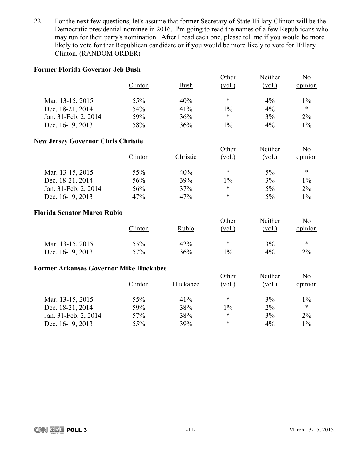22. For the next few questions, let's assume that former Secretary of State Hillary Clinton will be the Democratic presidential nominee in 2016. I'm going to read the names of a few Republicans who may run for their party's nomination. After I read each one, please tell me if you would be more likely to vote for that Republican candidate or if you would be more likely to vote for Hillary Clinton. (RANDOM ORDER)

### **Former Florida Governor Jeb Bush**

|                      | Clinton | Bush | Other<br>(vol.) | Neither<br>(vol.) | No<br>opinion |
|----------------------|---------|------|-----------------|-------------------|---------------|
| Mar. 13-15, 2015     | 55%     | 40%  | ∗               | $4\%$             | $1\%$         |
| Dec. 18-21, 2014     | 54%     | 41%  | $1\%$           | $4\%$             | ∗             |
| Jan. 31-Feb. 2, 2014 | 59%     | 36%  | ∗               | 3%                | $2\%$         |
| Dec. 16-19, 2013     | 58%     | 36%  | $1\%$           | $4\%$             | $1\%$         |

### **New Jersey Governor Chris Christie**

|                      | Clinton | Christie | Other<br>(vol.) | Neither<br>(vol.) | N <sub>0</sub><br>opinion |
|----------------------|---------|----------|-----------------|-------------------|---------------------------|
| Mar. 13-15, 2015     | 55%     | 40%      | *               | 5%                | $\ast$                    |
| Dec. 18-21, 2014     | 56%     | 39%      | $1\%$           | 3%                | 1%                        |
| Jan. 31-Feb. 2, 2014 | 56%     | 37%      | $\ast$          | $5\%$             | $2\%$                     |
| Dec. 16-19, 2013     | 47%     | 47%      | *               | $5\%$             | $1\%$                     |

### **Florida Senator Marco Rubio**

|                  | Clinton | Rubio | Other<br>(vol. | Neither<br>(vol.) | No<br>opinion |
|------------------|---------|-------|----------------|-------------------|---------------|
| Mar. 13-15, 2015 | 55%     | 42%   | ∗              | 3%                | $\ast$        |
| Dec. 16-19, 2013 | 57%     | 36%   | 10/0           | $4\%$             | $2\%$         |

### **Former Arkansas Governor Mike Huckabee**

|                      | Clinton | Huckabee | Other<br>(vol.) | Neither<br>(vol.) | N <sub>0</sub><br>opinion |
|----------------------|---------|----------|-----------------|-------------------|---------------------------|
| Mar. 13-15, 2015     | 55%     | 41%      | *               | 3%                | $1\%$                     |
| Dec. 18-21, 2014     | 59%     | 38%      | 1%              | $2\%$             | $\ast$                    |
| Jan. 31-Feb. 2, 2014 | 57%     | 38%      | *               | 3%                | 2%                        |
| Dec. 16-19, 2013     | 55%     | 39%      | *               | $4\%$             | $1\%$                     |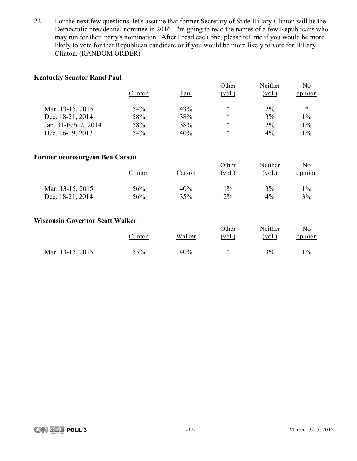22. For the next few questions, let's assume that former Secretary of State Hillary Clinton will be the Democratic presidential nominee in 2016. I'm going to read the names of a few Republicans who may run for their party's nomination. After I read each one, please tell me if you would be more likely to vote for that Republican candidate or if you would be more likely to vote for Hillary Clinton. (RANDOM ORDER)

# **Kentucky Senator Rand Paul**

|                      | Clinton | Paul | Other<br>(vol.) | Neither<br>(vol.) | No<br>opinion |
|----------------------|---------|------|-----------------|-------------------|---------------|
| Mar. 13-15, 2015     | 54%     | 43%  | $\ast$          | $2\%$             | $\ast$        |
| Dec. 18-21, 2014     | 58%     | 38%  | $\ast$          | 3%                | $1\%$         |
| Jan. 31-Feb. 2, 2014 | 58%     | 38%  | *               | $2\%$             | $1\%$         |
| Dec. 16-19, 2013     | 54%     | 40%  | *               | $4\%$             | $1\%$         |

# **Former neurosurgeon Ben Carson**

| $m$ mean $m$ and $m$ beneficially |         |        | Other  | Neither | No      |
|-----------------------------------|---------|--------|--------|---------|---------|
|                                   | Clinton | Carson | (vol.) | (vol.)  | opinion |
| Mar. 13-15, 2015                  | 56%     | 40%    | $1\%$  | 3%      | $1\%$   |
| Dec. 18-21, 2014                  | 56%     | 35%    | $2\%$  | 4%      | 3%      |

### **Wisconsin Governor Scott Walker**

|                  | Clinton | Walker | Other<br>(vol.) | Neither<br>(vol.) | No<br>opinion |
|------------------|---------|--------|-----------------|-------------------|---------------|
| Mar. 13-15, 2015 | 55%     | 40%    | ∗               | 3%                | $1\%$         |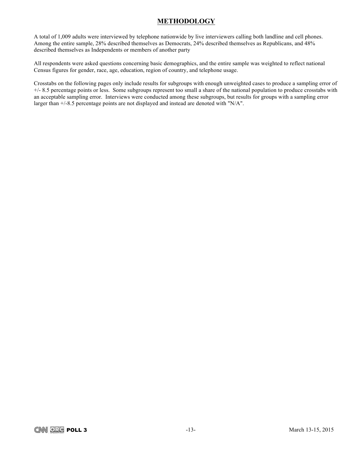# **METHODOLOGY**

A total of 1,009 adults were interviewed by telephone nationwide by live interviewers calling both landline and cell phones. Among the entire sample, 28% described themselves as Democrats, 24% described themselves as Republicans, and 48% described themselves as Independents or members of another party

All respondents were asked questions concerning basic demographics, and the entire sample was weighted to reflect national Census figures for gender, race, age, education, region of country, and telephone usage.

Crosstabs on the following pages only include results for subgroups with enough unweighted cases to produce a sampling error of +/- 8.5 percentage points or less. Some subgroups represent too small a share of the national population to produce crosstabs with an acceptable sampling error. Interviews were conducted among these subgroups, but results for groups with a sampling error larger than +/-8.5 percentage points are not displayed and instead are denoted with "N/A".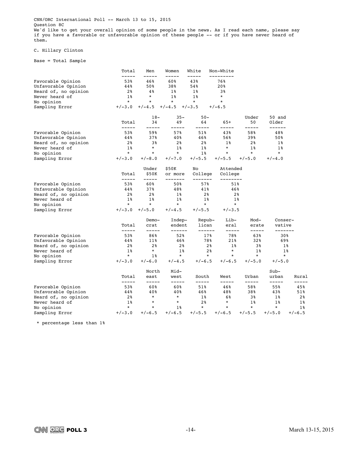CNN/ORC International Poll -- March 13 to 15, 2015 Question 8C We'd like to get your overall opinion of some people in the news. As I read each name, please say if you have a favorable or unfavorable opinion of these people -- or if you have never heard of them.

### C. Hillary Clinton

Base = Total Sample

|                      | Total                | Men                  | Women               | White               | Non-White           |                |                   |              |
|----------------------|----------------------|----------------------|---------------------|---------------------|---------------------|----------------|-------------------|--------------|
| Favorable Opinion    | -----<br>53%         | 46%                  | 60%                 | 43%                 | ---------<br>76%    |                |                   |              |
| Unfavorable Opinion  | 44%                  | 50%                  | 38%                 | 54%                 | 20%                 |                |                   |              |
| Heard of, no opinion | 2%                   | 4%                   | $1\%$               | $1\%$               | 3%                  |                |                   |              |
| Never heard of       | $1\%$                | $^\star$             | $1\%$               | $1\%$               | $\star$             |                |                   |              |
| No opinion           | $\star$              | $\star$              | $^\star$            | $\star$             | $\star$             |                |                   |              |
| Sampling Error       | $+/-3.0$             | $+/-4.5$             | $+/-4.5$            | $+/-3.5$            | $+/-6.5$            |                |                   |              |
|                      |                      | $18-$                | $35 -$              | $50 -$              |                     | Under          | 50 and            |              |
|                      | Total<br>-----       | 34<br>-----          | 49<br>-----         | 64<br>-----         | $65+$<br>-----      | 50<br>-----    | Older<br>------   |              |
| Favorable Opinion    | 53%                  | 59%                  | 57%                 | 51%                 | 43%                 | 58%            | 48%               |              |
| Unfavorable Opinion  | 44%                  | 37%                  | 40%                 | 46%                 | 56%                 | 39%            | 50%               |              |
| Heard of, no opinion | 2%                   | 38                   | 2%                  | 2%                  | $1\%$               | 2%             | 1%                |              |
| Never heard of       | $1\%$                | $\star$              | $1\%$               | $1\%$               | $\ast$              | $1\%$          | $1\%$             |              |
| No opinion           | $\star$              | $^\star$             | $\star$             | $1\%$               | $\star$             | $\star$        | $\star$           |              |
| Sampling Error       | $+/-3.0$             | $+/-8.0$             | $+/-7.0$            | $+/-5.5$            | $+/-5.5$            | $+/-5.0$       | $+/-4.0$          |              |
|                      |                      | Under                | \$50K               | No                  | Attended            |                |                   |              |
|                      | Total<br>$--- - - -$ | \$50K<br>$--- - - -$ | or more<br>-------- | College<br>-------- | College<br>-------- |                |                   |              |
| Favorable Opinion    | 53%                  | 60%                  | 50%                 | 57%                 | 51%                 |                |                   |              |
| Unfavorable Opinion  | 44%                  | 37%                  | 48%                 | 41%                 | 46%                 |                |                   |              |
| Heard of, no opinion | 2%                   | 2 <sub>8</sub>       | 1%                  | 2 <sup>8</sup>      | 2 <sup>8</sup>      |                |                   |              |
| Never heard of       | $1\%$                | $1\%$                | $1\%$               | $1\%$               | $1\%$               |                |                   |              |
| No opinion           | $\ast$               | $^\star$             | $\star$             | $\star$             | $\star$             |                |                   |              |
| Sampling Error       | $+/-3.0$             | $+/-5.0$             | $+/-4.5$            | $+/-5.5$            | $+/-3.5$            |                |                   |              |
|                      |                      | $Demo-$              | Indep-              | Repub-              | Lib-                | Mod-           | Conser-           |              |
|                      | Total<br>-----       | crat<br>-----        | endent<br>------    | lican<br>------     | eral<br>-----       | erate<br>----- | vative<br>------- |              |
| Favorable Opinion    | 53%                  | 86%                  | 52%                 | 17%                 | 78%                 | 63%            | 30%               |              |
| Unfavorable Opinion  | 44%                  | 11%                  | 46%                 | 78%                 | 21%                 | 32%            | 69%               |              |
| Heard of, no opinion | 2%                   | 2 <sup>8</sup>       | 2 <sup>8</sup>      | 2 <sup>8</sup>      | $1\%$               | 3%             |                   | 1%           |
| Never heard of       | $1\%$                | $\star$              | $1\%$               | 2 <sup>8</sup>      | $\star$             | $1\%$          |                   | $1\%$        |
| No opinion           | $\star$              | $1\,$ %              | $\star$             | $\star$             | $\star$             | $\star$        | $\star$           |              |
| Sampling Error       | $+/-3.0$             | $+/-6.0$             | $+/-4.5$            | $+/-6.5$            | $+/-6.5$            | $+/-5.0$       | $+/-5.0$          |              |
|                      |                      | North                | Mid-                |                     |                     |                | $Sub-$            |              |
|                      | Total                | east                 | west                | South               | West                | Urban          | urban             | Rural        |
| Favorable Opinion    | -----<br>53%         | -----<br>60%         | -----<br>60%        | -----<br>51%        | -----<br>46%        | -----<br>58%   | -----<br>55%      | -----<br>45% |
| Unfavorable Opinion  | 44%                  | 40%                  | 40%                 | 46%                 | 48%                 | 38%            | 43%               | 51%          |
| Heard of, no opinion | 2%                   | $\star$              | $\star$             | $1\,$               | 6%                  | 3%             | 18                | $2\,$ $\,$   |
| Never heard of       | $1\%$                | $\ast$               | $\ast$              | 2%                  | $\ast$              | $1\%$          | 1%                | 1%           |
| No opinion           | $\star$              | $\ast$               | $1\%$               | $\star$             | $\star$             | $\star$        | $\star$           | $1\%$        |
| Sampling Error       | $+/-3.0$             | $+/-6.5$             | $+/-6.5$            | $+/-5.5$            | $+/-6.5$            | $+/-5.5$       | $+/-5.0$          | $+/-6.5$     |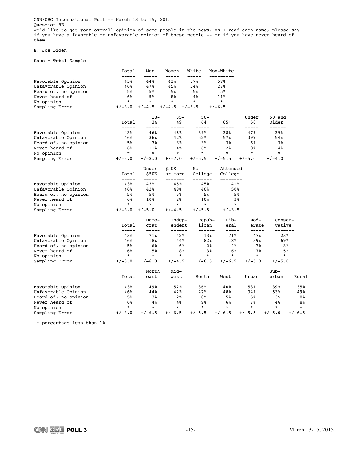CNN/ORC International Poll -- March 13 to 15, 2015 Question 8E We'd like to get your overall opinion of some people in the news. As I read each name, please say if you have a favorable or unfavorable opinion of these people -- or if you have never heard of them.

#### E. Joe Biden

Base = Total Sample

|                      | Total          | Men            | Women              | White              | Non-White           |                |                   |          |
|----------------------|----------------|----------------|--------------------|--------------------|---------------------|----------------|-------------------|----------|
| Favorable Opinion    | -----<br>43%   | 44%            | 43%                | 37%                | --------<br>57%     |                |                   |          |
| Unfavorable Opinion  | 46%            | 47%            | 45%                | 54%                | 27%                 |                |                   |          |
| Heard of, no opinion | 5%             | 5%             | 5%                 | 5%                 | 5%                  |                |                   |          |
| Never heard of       | 6%             | 5 <sup>8</sup> | 8%                 | 4 <sup>°</sup>     | 11%                 |                |                   |          |
| No opinion           | $\star$        | $\star$        | $^\star$           | $\star$            | $\star$             |                |                   |          |
| Sampling Error       | $+/-3.0$       | $+/-4.5$       | $+/-4.5$           | $+/-3.5$           | $+/-6.5$            |                |                   |          |
|                      |                | $18-$          | $35 -$             | $50 -$             |                     | Under          | 50 and            |          |
|                      | Total<br>----- | 34<br>-----    | 49<br>-----        | 64<br>-----        | $65+$<br>-----      | 50<br>-----    | Older<br>------   |          |
| Favorable Opinion    | 43%            | 46%            | 48%                | 39%                | 38%                 | 47%            | 39%               |          |
| Unfavorable Opinion  | 46%            | $36\%$         | 42%                | 52%                | 57%                 | 39%            | 54%               |          |
| Heard of, no opinion | 5%             | 78             | 6%                 | 3%                 | 3%                  | 6%             | 3%                |          |
| Never heard of       | 6%             | 11%            | 4%                 | 6%                 | 2 <sup>8</sup>      | 8%             | $4\,$ %           |          |
| No opinion           | $\star$        | $\star$        | $\star$            | $\star$            | $\star$             | $\star$        | $\star$           |          |
| Sampling Error       | $+/-3.0$       | $+/-8.0$       | $+/-7.0$           | $+/-5.5$           | $+/-5.5$            | $+/-5.0$       | $+/-4.0$          |          |
|                      |                | Under          | \$50K              | No                 | Attended            |                |                   |          |
|                      | Total<br>----- | \$50K<br>----- | or more<br>------- | College<br>------- | College<br>-------- |                |                   |          |
| Favorable Opinion    | 43%            | 43%            | 45%                | 45%                | 41%                 |                |                   |          |
| Unfavorable Opinion  | 46%            | 42%            | 48%                | 40%                | 50%                 |                |                   |          |
| Heard of, no opinion | 5%             | 5%             | 5%                 | 5%                 | 5%                  |                |                   |          |
| Never heard of       | 6%             | 10%            | 2 <sup>8</sup>     | 10%                | 3%                  |                |                   |          |
| No opinion           | $^\star$       | $^\star$       | $\star$            | $\star$            | $\star$             |                |                   |          |
| Sampling Error       | $+/-3.0$       | $+/-5.0$       | $+/-4.5$           | $+/-5.5$           | $+/-3.5$            |                |                   |          |
|                      |                | Demo-          | Indep-             | Repub-             | Lib-                | Mod-           | Conser-           |          |
|                      | Total<br>----- | crat<br>-----  | endent<br>------   | lican<br>------    | eral<br>-----       | erate<br>----- | vative<br>------- |          |
| Favorable Opinion    | 43%            | 71%            | 42%                | 13%                | 71%                 | 47%            | 23%               |          |
| Unfavorable Opinion  | 46%            | 18%            | 44%                | 82%                | 18%                 | 39%            | 69%               |          |
| Heard of, no opinion | 5%             | 6%             | 6%                 | 2%                 | 4%                  | 7 %            | 38                |          |
| Never heard of       | 6%             | 5%             | 8%                 | 3%                 | 6%                  | 7%             | 5%                |          |
| No opinion           | $\star$        | $\star$        | $\star$            | $\star$            | $\star$             | $\star$        | $\star$           |          |
| Sampling Error       | $+/-3.0$       | $+/-6.0$       | $+/-4.5$           | $+/-6.5$           | $+/-6.5$            | $+/-5.0$       | $+/-5.0$          |          |
|                      |                | North          | Mid-               |                    |                     |                | $Sub-$            |          |
|                      | Total<br>----- | east<br>-----  | west<br>-----      | South<br>-----     | West<br>-----       | Urban<br>----- | urban<br>-----    | Rural    |
| Favorable Opinion    | 43%            | 49%            | 52%                | 36%                | 40%                 | 53%            | 39%               | 35%      |
| Unfavorable Opinion  | 46%            | 44%            | 42%                | 47%                | 48%                 | 34%            | 53%               | 49%      |
| Heard of, no opinion | 5%             | 38             | 2 <sup>8</sup>     | 8%                 | 5%                  | 5%             | 3%                | 8%       |
| Never heard of       | 6%             | 4%             | 4%                 | 9 <sub>8</sub>     | 6%                  | 7%             | $4\%$             | 8%       |
| No opinion           | $\star$        | $\star$        | $\star$            | $\star$            | $\star$             | $\star$        | $\star$           | $\star$  |
| Sampling Error       | $+/-3.0$       | $+/-6.5$       | $+/-6.5$           | $+/-5.5$           | $+/-6.5$            | $+/-5.5$       | $+/-5.0$          | $+/-6.5$ |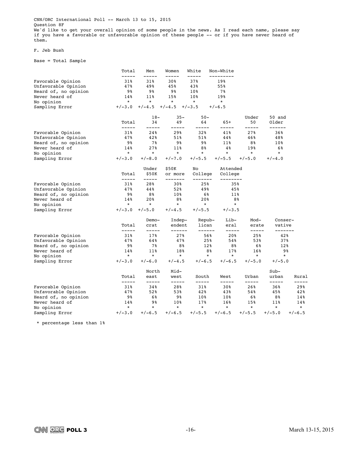CNN/ORC International Poll -- March 13 to 15, 2015 Question 8F We'd like to get your overall opinion of some people in the news. As I read each name, please say if you have a favorable or unfavorable opinion of these people -- or if you have never heard of them.

#### F. Jeb Bush

Base = Total Sample

|                      | Total          | Men                | Women            | White           | Non-White        |                |                   |          |
|----------------------|----------------|--------------------|------------------|-----------------|------------------|----------------|-------------------|----------|
| Favorable Opinion    | -----<br>31%   | 31%                | 30%              | 37%             | ---------<br>19% |                |                   |          |
| Unfavorable Opinion  | 47%            | 49%                | 45%              | 43%             | 55%              |                |                   |          |
| Heard of, no opinion | 98             | 98                 | 98               | 10%             | 7%               |                |                   |          |
| Never heard of       | 14%            | 11%                | 15%              | 10 <sub>8</sub> | 19%              |                |                   |          |
| No opinion           | $\star$        | $\star$            | $\ast$           | $\ast$          | $\star$          |                |                   |          |
| Sampling Error       | $+/-3.0$       | $+/-4.5$           | $+/-4.5$         | $+/-3.5$        | $+/-6.5$         |                |                   |          |
|                      |                | $18-$              | $35 -$           | $50 -$          |                  | Under          | 50 and            |          |
|                      | Total          | 34                 | 49               | 64              | $65+$            | 50             | Older             |          |
| Favorable Opinion    | -----<br>31%   | 24%                | -----<br>29%     | -----<br>32%    | -----<br>41%     | -----<br>27%   | ------<br>36%     |          |
| Unfavorable Opinion  | 47%            | 42%                | 51%              | 51%             | 44%              | 46%            | 48%               |          |
| Heard of, no opinion | 98             | 7%                 | 98               | 98              | 11%              | 8%             | 10%               |          |
| Never heard of       | 14%            | 27%                | $11\%$           | 8%              | 4%               | 19%            | 6%                |          |
| No opinion           | $\star$        | $\star$            | $\star$          | $\star$         | $\star$          | $\star$        | $\star$           |          |
| Sampling Error       | $+/-3.0$       | $+/-8.0$           | $+/-7.0$         | $+/-5.5$        | $+/-5.5$         | $+/-5.0$       | $+/-4.0$          |          |
|                      |                | Under              | \$50K            | No              | Attended         |                |                   |          |
|                      | Total          | \$50K              | or more          | College         | College          |                |                   |          |
| Favorable Opinion    | ------<br>31%  | $- - - - -$<br>28% | -------<br>30%   | -------<br>25%  | --------<br>35%  |                |                   |          |
| Unfavorable Opinion  | 47%            | 44%                | 52%              | 49%             | 45%              |                |                   |          |
| Heard of, no opinion | 98             | 88                 | 10%              | 6%              | $11\%$           |                |                   |          |
| Never heard of       | 14%            | 20%                | 8%               | 20%             | 8%               |                |                   |          |
| No opinion           | $\ast$         | $^\star$           | $\star$          | $\star$         | $\star$          |                |                   |          |
| Sampling Error       | $+/-3.0$       | $+/-5.0$           | $+/-4.5$         | $+/-5.5$        | $+/-3.5$         |                |                   |          |
|                      |                | Demo-              | Indep-           | Repub-          | Lib-             | Mod-           | Conser-           |          |
|                      | Total<br>----- | crat<br>-----      | endent<br>------ | lican<br>------ | eral<br>-----    | erate<br>----- | vative<br>------- |          |
| Favorable Opinion    | 31%            | 17%                | 27%              | 56%             | 20%              | 25%            | 42%               |          |
| Unfavorable Opinion  | 47%            | 64%                | 47%              | 25%             | 54%              | 53%            | 37%               |          |
| Heard of, no opinion | 98             | 7%                 | 8%               | 12%             | 8%               | 6%             | 12%               |          |
| Never heard of       | 14%            | 11%                | 18%              | 8%              | 17%              | 16%            |                   | 9%       |
| No opinion           | $\star$        | $\star$            | $\star$          | $\star$         | $\star$          | $\star$        | $\star$           |          |
| Sampling Error       | $+/-3.0$       | $+/-6.0$           | $+/-4.5$         | $+/-6.5$        | $+/-6.5$         | $+/-5.0$       | $+/-5.0$          |          |
|                      |                | North              | Mid-             |                 |                  |                | $Sub-$            |          |
|                      | Total<br>----- | east<br>-----      | west<br>-----    | South<br>-----  | West<br>-----    | Urban<br>----- | urban<br>-----    | Rural    |
| Favorable Opinion    | 31%            | 34%                | 28%              | 31%             | 30%              | 26%            | 36%               | 29%      |
| Unfavorable Opinion  | 47%            | 52%                | 53%              | 42%             | 43%              | 54%            | 45%               | 42%      |
| Heard of, no opinion | 9%             | 6%                 | 98               | 10%             | 10%              | 6%             | 8%                | 14%      |
| Never heard of       | 14%            | 98                 | 10%              | 17%             | 16%              | 15%            | 11%               | 14%      |
| No opinion           | $\star$        | $\star$            | $\star$          | $\star$         | $\star$          | $\star$        | $\star$           | $\star$  |
| Sampling Error       | $+/-3.0$       | $+/-6.5$           | $+/-6.5$         | $+/-5.5$        | $+/-6.5$         | $+/-5.5$       | $+/-5.0$          | $+/-6.5$ |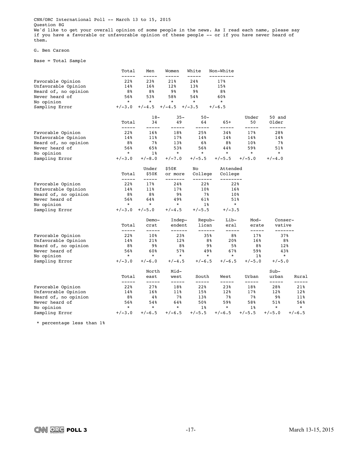CNN/ORC International Poll -- March 13 to 15, 2015 Question 8G We'd like to get your overall opinion of some people in the news. As I read each name, please say if you have a favorable or unfavorable opinion of these people -- or if you have never heard of them.

#### G. Ben Carson

Base = Total Sample

|                      | Total          | Men            | Women              | White              | Non-White           |                 |                   |                |
|----------------------|----------------|----------------|--------------------|--------------------|---------------------|-----------------|-------------------|----------------|
| Favorable Opinion    | -----<br>22%   | 23%            | 21%                | 24%                | --------<br>17%     |                 |                   |                |
| Unfavorable Opinion  | 14%            | 16%            | 12%                | 13%                | 15%                 |                 |                   |                |
| Heard of, no opinion | 8%             | 8%             | 98                 | 98                 | 8%                  |                 |                   |                |
| Never heard of       | 56%            | 53%            | 58%                | 54%                | 60%                 |                 |                   |                |
| No opinion           | $\star$        | $\star$        | $\star$            | $\star$            | $\star$             |                 |                   |                |
| Sampling Error       | $+/-3.0$       | $+/-4.5$       | $+/-4.5$           | $+/-3.5$           | $+/-6.5$            |                 |                   |                |
|                      |                | $18-$          | $35 -$             | $50 -$             |                     | Under           | 50 and            |                |
|                      | Total<br>----- | 34<br>-----    | 49<br>-----        | 64<br>-----        | $65+$<br>-----      | 50<br>-----     | Older<br>------   |                |
| Favorable Opinion    | 22%            | 16%            | 18%                | 25%                | 34%                 | 17%             | 28%               |                |
| Unfavorable Opinion  | 14%            | 11%            | 17%                | 14%                | 14%                 | 14%             | 14%               |                |
| Heard of, no opinion | 8%             | 78             | 13%                | 6%                 | 88                  | 10 <sub>8</sub> | 7%                |                |
| Never heard of       | 56%            | 65%            | 53%                | 56%                | 44%                 | 59%             | 51%               |                |
| No opinion           | $\star$        | $1\%$          | $\star$            | $\star$            | $\star$             | $\star$         | $\star$           |                |
| Sampling Error       | $+/-3.0$       | $+/-8.0$       | $+/-7.0$           | $+/-5.5$           | $+/-5.5$            | $+/-5.0$        | $+/-4.0$          |                |
|                      |                | Under          | \$50K              | No                 | Attended            |                 |                   |                |
|                      | Total<br>----- | \$50K<br>----- | or more<br>------- | College<br>------- | College<br>-------- |                 |                   |                |
| Favorable Opinion    | 22%            | 17%            | 24%                | 22%                | 22%                 |                 |                   |                |
| Unfavorable Opinion  | 14%            | 11%            | 17%                | 10%                | 16%                 |                 |                   |                |
| Heard of, no opinion | 88             | 8%             | 98                 | 7%                 | 10%                 |                 |                   |                |
| Never heard of       | 56%            | 64%            | 49%                | 61%                | 51%                 |                 |                   |                |
| No opinion           | $^\star$       | $\star$        | $\star$            | $1\%$              | $\star$             |                 |                   |                |
| Sampling Error       | $+/-3.0$       | $+/-5.0$       | $+/-4.5$           | $+/-5.5$           | $+/-3.5$            |                 |                   |                |
|                      |                | Demo-          | Indep-             | Repub-             | Lib-                | Mod-            | Conser-           |                |
|                      | Total<br>----- | crat           | endent<br>------   | lican<br>------    | eral<br>-----       | erate<br>-----  | vative<br>------- |                |
| Favorable Opinion    | 22%            | 10%            | 23%                | 35%                | 8%                  | 17%             | 37%               |                |
| Unfavorable Opinion  | 14%            | 21%            | 12%                | 8%                 | 20%                 | 16%             |                   | 8%             |
| Heard of, no opinion | 8%             | 98             | 8%                 | 98                 | 5%                  | 8%              | 12%               |                |
| Never heard of       | 56%            | 60%            | 57%                | 49%                | 67%                 | 59%             | 43%               |                |
| No opinion           | $\star$        | $\star$        | $\star$            | $\star$            | $\star$             | $1\%$           | $\star$           |                |
| Sampling Error       | $+/-3.0$       | $+/-6.0$       | $+/-4.5$           | $+/-6.5$           | $+/-6.5$            | $+/-5.0$        | $+/-5.0$          |                |
|                      |                | North          | Mid-               |                    |                     |                 | $Sub-$            |                |
|                      | Total<br>----- | east<br>-----  | west<br>-----      | South<br>-----     | West<br>-----       | Urban<br>-----  | urban<br>-----    | Rural<br>----- |
| Favorable Opinion    | 22%            | 27%            | 18%                | 22%                | 23%                 | 18%             | 28%               | 21%            |
| Unfavorable Opinion  | 14%            | 16%            | 11%                | 15%                | 12%                 | 17%             | 12%               | 12%            |
| Heard of, no opinion | 8%             | 4%             | 7 %                | 13%                | 7%                  | 7%              | 98                | 11%            |
| Never heard of       | 56%            | 54%            | 64%                | 50%                | 59%                 | 58%             | 51%               | 56%            |
| No opinion           | $^\star$       | $\star$        | $\star$            | $1\%$              | $\star$             | $1\%$           | $\star$           | $\star$        |
| Sampling Error       | $+/-3.0$       | $+/-6.5$       | $+/-6.5$           | $+/-5.5$           | $+/-6.5$            | $+/-5.5$        | $+/-5.0$          | $+/-6.5$       |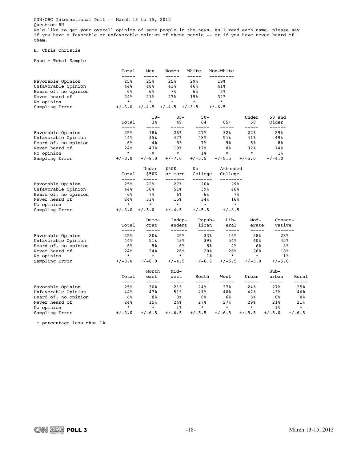CNN/ORC International Poll -- March 13 to 15, 2015 Question 8H We'd like to get your overall opinion of some people in the news. As I read each name, please say if you have a favorable or unfavorable opinion of these people -- or if you have never heard of them.

#### H. Chris Christie

Base = Total Sample

|                      | Total          | Men                  | Women              | White              | Non-White           |                |                   |                |
|----------------------|----------------|----------------------|--------------------|--------------------|---------------------|----------------|-------------------|----------------|
| Favorable Opinion    | -----<br>25%   | -----<br>25%         | -----<br>25%       | 29%                | ---------<br>19%    |                |                   |                |
| Unfavorable Opinion  | 44%            | 48%                  | 41%                | 46%                | 41%                 |                |                   |                |
| Heard of, no opinion | 6%             | 6%                   | 7%                 | 6%                 | 6%                  |                |                   |                |
| Never heard of       | 24%            | 21%                  | 27%                | 19%                | 34%                 |                |                   |                |
| No opinion           | $^\star$       | $^\star$             | *                  | $^\star$           | $\ast$              |                |                   |                |
| Sampling Error       | $+/-3.0$       | $+/-4.5$             | $+/-4.5$           | $+/-3.5$           | $+/-6.5$            |                |                   |                |
|                      |                | $18-$                | $35 -$             | $50 -$             |                     | Under          | 50 and            |                |
|                      | Total<br>----- | 34<br>-----          | 49<br>-----        | 64<br>-----        | 65+<br>-----        | 50<br>-----    | Older<br>------   |                |
| Favorable Opinion    | 25%            | 18%                  | 26%                | 27%                | 32%                 | 22%            | 29%               |                |
| Unfavorable Opinion  | 44%            | 35%                  | 47%                | 48%                | 51%                 | 41%            | 49%               |                |
| Heard of, no opinion | 6%             | 4%                   | 8%                 | 7%                 | 9%                  | 5%             | 8%                |                |
| Never heard of       | 24%            | 43%                  | 19%                | 17%                | 8%                  | 32%            | 14%               |                |
| No opinion           | $\star$        | $\star$              | $\star$            | $1\%$              | $\star$             | $\star$        | $1\%$             |                |
| Sampling Error       | $+/-3.0$       | $+/-8.0$             | $+/-7.0$           | $+/-5.5$           | $+/-5.5$            | $+/-5.0$       | $+/-4.0$          |                |
|                      |                | Under                | \$50K              | No                 | Attended            |                |                   |                |
|                      | Total<br>----- | \$50K<br>$- - - - -$ | or more<br>------- | College<br>------- | College<br>-------- |                |                   |                |
| Favorable Opinion    | 25%            | 22%                  | 27%                | 20%                | 29%                 |                |                   |                |
| Unfavorable Opinion  | 44%            | 38%                  | 51%                | 39%                | 48%                 |                |                   |                |
| Heard of, no opinion | 6%             | 7%                   | 6%                 | 6%                 | 7%                  |                |                   |                |
| Never heard of       | 24%            | 33%                  | 15%                | 34%                | 16%                 |                |                   |                |
| No opinion           | $\star$        | $\star$              | $^\star$           | $\star$            | $\star$             |                |                   |                |
| Sampling Error       | $+/-3.0$       | $+/-5.0$             | $+/-4.5$           | $+/-5.5$           | $+/-3.5$            |                |                   |                |
|                      |                | Demo-                | Indep-             | Repub-             | Lib-                | Mod-           | Conser-           |                |
|                      | Total<br>----- | crat                 | endent<br>------   | lican<br>------    | eral<br>-----       | erate<br>----- | vative<br>------- |                |
| Favorable Opinion    | 25%            | 20%                  | 25%                | 33%                | 16%                 | 28%            | 28%               |                |
| Unfavorable Opinion  | 44%            | 51%                  | 43%                | 39%                | 54%                 | 40%            | 45%               |                |
| Heard of, no opinion | 6%             | 5%                   | 6%                 | 8%                 | 4%                  | 6%             |                   | 8%             |
| Never heard of       | 24%            | 24%                  | 26%                | 20%                | 26%                 | 26%            | 18%               |                |
| No opinion           | $\star$        | $\star$              | $\star$            | $1\%$              | $\star$             | $\star$        |                   | $1\%$          |
| Sampling Error       | $+/-3.0$       | $+/-6.0$             | $+/-4.5$           | $+/-6.5$           | $+/-6.5$            | $+/-5.0$       | $+/-5.0$          |                |
|                      |                | North                | Mid-               |                    |                     |                | $Sub-$            |                |
|                      | Total<br>----- | east<br>-----        | west<br>-----      | South<br>-----     | West<br>-----       | Urban<br>----- | urban<br>-----    | Rural<br>----- |
| Favorable Opinion    | 25%            | 30%                  | 21%                | 24%                | 27%                 | 24%            | 27%               | 25%            |
| Unfavorable Opinion  | 44%            | 47%                  | 51%                | 41%                | 40%                 | 42%            | 43%               | 46%            |
| Heard of, no opinion | 6%             | 8%                   | 3%                 | 8%                 | 6%                  | 5%             | 8%                | 8%             |
| Never heard of       | 24%            | 15%                  | 24%                | 27%                | 27%                 | 29%            | 21%               | 21%            |
| No opinion           | $\star$        | $\star$              | $1\%$              | $^\star$           | $\star$             | $\ast$         | $1\%$             | $\star$        |
| Sampling Error       | $+/-3.0$       | $+/-6.5$             | $+/-6.5$           | $+/-5.5$           | $+/-6.5$            | $+/-5.5$       | $+/-5.0$          | $+/-6.5$       |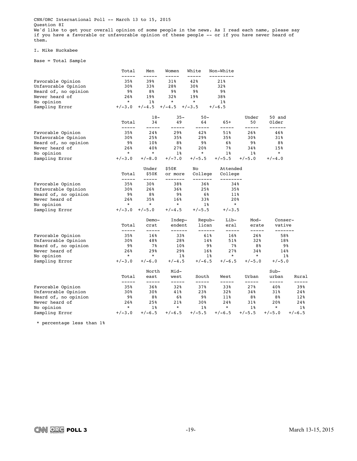CNN/ORC International Poll -- March 13 to 15, 2015 Question 8I We'd like to get your overall opinion of some people in the news. As I read each name, please say if you have a favorable or unfavorable opinion of these people -- or if you have never heard of them.

#### I. Mike Huckabee

Base = Total Sample

|                      | Total          | Men            | Women              | White              | Non-White            |                |                   |                |
|----------------------|----------------|----------------|--------------------|--------------------|----------------------|----------------|-------------------|----------------|
| Favorable Opinion    | -----<br>35%   | -----<br>39%   | -----<br>31%       | 42%                | ---------<br>21%     |                |                   |                |
| Unfavorable Opinion  | 30%            | 33%            | 28%                | 30%                | 32%                  |                |                   |                |
| Heard of, no opinion | 9%             | 8%             | 98                 | 98                 | 98                   |                |                   |                |
| Never heard of       | 26%            | 19%            | 32%                | 19%                | 38%                  |                |                   |                |
| No opinion           | $^\star$       | $1\%$          | *                  | $^\star$           | $1\%$                |                |                   |                |
| Sampling Error       | $+/-3.0$       | $+/-4.5$       | $+/-4.5$           | $+/-3.5$           | $+/-6.5$             |                |                   |                |
|                      |                | $18-$          | $35 -$             | $50 -$             |                      | Under          | 50 and            |                |
|                      | Total          | 34             | 49                 | 64                 | 65+                  | 50             | Older             |                |
| Favorable Opinion    | -----<br>35%   | -----<br>24%   | -----<br>29%       | -----<br>42%       | -----<br>51%         | -----<br>26%   | ------<br>46%     |                |
| Unfavorable Opinion  | 30%            | 25%            | 35%                | 29%                | 35%                  | 30%            | 31%               |                |
| Heard of, no opinion | 98             | 10%            | 8%                 | 98                 | 6%                   | 9%             | 8%                |                |
| Never heard of       | 26%            | 40%            | 27%                | 20%                | 7%                   | 34%            | 15%               |                |
| No opinion           | $\star$        | $\star$        | $1\%$              | $\star$            | $1\%$                | $1\%$          | $\star$           |                |
| Sampling Error       | $+/-3.0$       | $+/-8.0$       | $+/-7.0$           | $+/-5.5$           | $+/-5.5$             | $+/-5.0$       | $+/-4.0$          |                |
|                      |                | Under          | \$50K              | No                 | Attended             |                |                   |                |
|                      | Total<br>----- | \$50K<br>----- | or more<br>------- | College<br>------- | College<br>--------- |                |                   |                |
| Favorable Opinion    | 35%            | 30%            | 38%                | 36%                | 34%                  |                |                   |                |
| Unfavorable Opinion  | 30%            | 26%            | 36%                | 25%                | 35%                  |                |                   |                |
| Heard of, no opinion | 98             | 8%             | 98                 | 6%                 | 11%                  |                |                   |                |
| Never heard of       | 26%            | 35%            | 16%                | 33%                | 20%                  |                |                   |                |
| No opinion           | $\ast$         | $^\star$       | $^\star$           | 18                 | $\star$              |                |                   |                |
| Sampling Error       | $+/-3.0$       | $+/-5.0$       | $+/-4.5$           | $+/-5.5$           | $+/-3.5$             |                |                   |                |
|                      |                | Demo-          | Indep-             | Repub-             | Lib-                 | Mod-           | Conser-           |                |
|                      | Total<br>----- | crat<br>-----  | endent<br>------   | lican<br>------    | eral<br>-----        | erate<br>----- | vative<br>------- |                |
| Favorable Opinion    | 35%            | $16\%$         | 33%                | 61%                | 16%                  | 26%            | 58%               |                |
| Unfavorable Opinion  | 30%            | 48%            | 28%                | 14%                | 51%                  | 32%            | 18%               |                |
| Heard of, no opinion | 98             | 7%             | 10%                | 98                 | 7%                   | 8%             |                   | 98             |
| Never heard of       | 26%            | 29%            | 29%                | 16%                | 27%                  | 34%            | 14%               |                |
| No opinion           | $\star$        | $\star$        | $1\%$              | $1\%$              | $\star$              | $\star$        |                   | $1\%$          |
| Sampling Error       | $+/-3.0$       | $+/-6.0$       | $+/-4.5$           | $+/-6.5$           | $+/-6.5$             | $+/-5.0$       | $+/-5.0$          |                |
|                      |                | North          | Mid-               |                    |                      |                | $Sub-$            |                |
|                      | Total<br>----- | east<br>-----  | west               | South<br>-----     | West<br>-----        | Urban<br>----- | urban<br>-----    | Rural<br>----- |
| Favorable Opinion    | 35%            | $36\%$         | -----<br>32%       | 37%                | 33%                  | 27%            | 40%               | 39%            |
| Unfavorable Opinion  | 30%            | 30%            | 41%                | 23%                | 32%                  | 34%            | 31%               | 24%            |
| Heard of, no opinion | 9%             | 8%             | 6%                 | 98                 | 11%                  | 8%             | 8%                | 12%            |
| Never heard of       | 26%            | 25%            | 21%                | 30%                | 24%                  | 31%            | 20%               | 24%            |
| No opinion           | $^\star$       | $1\%$          | $\star$            | $1\,$ $\,$         | $\star$              | $1\%$          | $\ast$            | $1\,$          |
| Sampling Error       | $+/-3.0$       | $+/-6.5$       | $+/-6.5$           | $+/-5.5$           | $+/-6.5$             | $+/-5.5$       | $+/-5.0$          | $+/-6.5$       |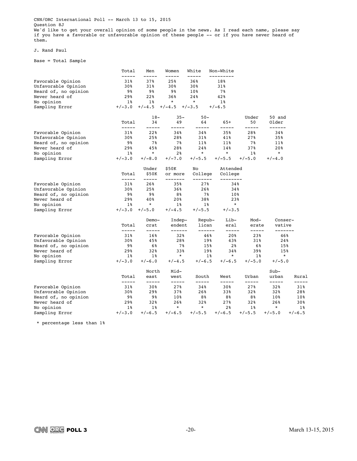CNN/ORC International Poll -- March 13 to 15, 2015 Question 8J We'd like to get your overall opinion of some people in the news. As I read each name, please say if you have a favorable or unfavorable opinion of these people -- or if you have never heard of them.

#### J. Rand Paul

Base = Total Sample

|                      | Total          | Men                  | Women              | White              | Non-White            |                |                   |              |
|----------------------|----------------|----------------------|--------------------|--------------------|----------------------|----------------|-------------------|--------------|
| Favorable Opinion    | -----<br>31%   | 37%                  | -----<br>25%       | 36%                | -------<br>18%       |                |                   |              |
| Unfavorable Opinion  | 30%            | 31%                  | 30%                | 30%                | 31%                  |                |                   |              |
| Heard of, no opinion | 9%             | 9%                   | 9%                 | 10%                | 7%                   |                |                   |              |
| Never heard of       | 29%            | 22%                  | 36%                | 24%                | 42%                  |                |                   |              |
| No opinion           | 1%             | 18                   | $^\star$           | $\ast$             | 1%                   |                |                   |              |
| Sampling Error       | $+/-3.0$       | $+/-4.5$             | $+/-4.5$           | $+/-3.5$           | $+/-6.5$             |                |                   |              |
|                      |                | $18-$                | $35 -$             | $50 -$             |                      | Under          | 50 and            |              |
|                      | Total<br>----- | 34<br>-----          | 49<br>-----        | 64<br>-----        | 65+<br>-----         | 50<br>-----    | Older<br>------   |              |
| Favorable Opinion    | 31%            | 22%                  | 34%                | 34%                | 35%                  | 28%            | 34%               |              |
| Unfavorable Opinion  | 30%            | 25%                  | 28%                | 31%                | 41%                  | 27%            | 35%               |              |
| Heard of, no opinion | 98             | 7%                   | 7%                 | 11%                | 11%                  | 7%             | 11%               |              |
| Never heard of       | 29%            | 45%                  | 28%                | 24%                | 14%                  | 37%            | 20%               |              |
| No opinion           | $1\%$          | $\star$              | 2 <sup>8</sup>     | $\star$            | $\star$              | $1\%$          | $\star$           |              |
| Sampling Error       | $+/-3.0$       | $+/-8.0$             | $+/-7.0$           | $+/-5.5$           | $+/-5.5$             | $+/-5.0$       | $+/-4.0$          |              |
|                      |                | Under                | \$50K              | No                 | Attended             |                |                   |              |
|                      | Total<br>----- | \$50K<br>$--- - - -$ | or more<br>------- | College<br>------- | College<br>--------- |                |                   |              |
| Favorable Opinion    | 31%            | 26%                  | 35%                | 27%                | 34%                  |                |                   |              |
| Unfavorable Opinion  | 30%            | 25%                  | 36%                | 26%                | 34%                  |                |                   |              |
| Heard of, no opinion | 98             | 98                   | 8%                 | 7%                 | 10%                  |                |                   |              |
| Never heard of       | 29%            | 40%                  | 20%                | 38%                | 23%                  |                |                   |              |
| No opinion           | $1\%$          | $^\star$             | $1\%$              | $1\%$              | $\star$              |                |                   |              |
| Sampling Error       | $+/-3.0$       | $+/-5.0$             | $+/-4.5$           | $+/-5.5$           | $+/-3.5$             |                |                   |              |
|                      |                | Demo-                | Indep-             | Repub-             | Lib-                 | Mod-           | Conser-           |              |
|                      | Total<br>----- | crat<br>-----        | endent<br>------   | lican<br>------    | eral<br>-----        | erate<br>----- | vative<br>------- |              |
| Favorable Opinion    | 31%            | 16%                  | 32%                | 46%                | 20%                  | 23%            | 46%               |              |
| Unfavorable Opinion  | 30%            | 45%                  | 28%                | 19%                | 43%                  | 31%            | 24%               |              |
| Heard of, no opinion | 98             | 6%                   | 7%                 | 15%                | 2 <sup>8</sup>       | 6%             | 15%               |              |
| Never heard of       | 29%            | 32%                  | 33%                | 19%                | 34%                  | 39%            | 15%               |              |
| No opinion           | $1\%$          | $1\%$                | $\star$            | $1\%$              | $\star$              | $1\%$          | $\star$           |              |
| Sampling Error       | $+/-3.0$       | $+/-6.0$             | $+/-4.5$           | $+/-6.5$           | $+/-6.5$             | $+/-5.0$       | $+/-5.0$          |              |
|                      |                | North                | Mid-               |                    |                      |                | $Sub-$            |              |
|                      | Total          | east                 | west               | South              | West                 | Urban          | urban             | Rural        |
| Favorable Opinion    | -----<br>31%   | -----<br>30%         | -----<br>27%       | -----<br>34%       | -----<br>30%         | -----<br>27%   | -----<br>32%      | -----<br>31% |
| Unfavorable Opinion  | 30%            | 29%                  | 37%                | 26%                | 33%                  | 32%            | 32%               | 28%          |
| Heard of, no opinion | 9%             | 98                   | 10%                | 8%                 | 8%                   | 8%             | 10%               | 10%          |
| Never heard of       | 29%            | 32%                  | 26%                | 32%                | 27%                  | 32%            | 26%               | 30%          |
| No opinion           | $1\%$          | $1\%$                | $\star$            | $\star$            | 2 <sub>8</sub>       | $1\%$          | $\ast$            | $1\%$        |
| Sampling Error       | $+/-3.0$       | $+/-6.5$             | $+/-6.5$           | $+/-5.5$           | $+/-6.5$             | $+/-5.5$       | $+/-5.0$          | $+/-6.5$     |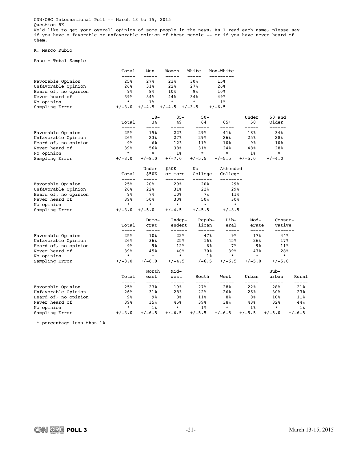CNN/ORC International Poll -- March 13 to 15, 2015 Question 8K We'd like to get your overall opinion of some people in the news. As I read each name, please say if you have a favorable or unfavorable opinion of these people -- or if you have never heard of them.

#### K. Marco Rubio

Base = Total Sample

|                      | Total           | Men            | Women               | White              | Non-White            |                |                   |                |
|----------------------|-----------------|----------------|---------------------|--------------------|----------------------|----------------|-------------------|----------------|
| Favorable Opinion    | -----<br>25%    | 27%            | 23%                 | 30%                | -------<br>15%       |                |                   |                |
| Unfavorable Opinion  | 26%             | 31%            | 22%                 | 27%                | 26%                  |                |                   |                |
| Heard of, no opinion | 9%              | 8%             | 10%                 | 9%                 | 10%                  |                |                   |                |
| Never heard of       | 39%             | 34%            | 44%                 | 34%                | 49%                  |                |                   |                |
| No opinion           | $\star$         | 1%             | $^\star$            | $^\star$           | 18                   |                |                   |                |
| Sampling Error       | $+/-3.0$        | $+/-4.5$       | $+/-4.5$            | $+/-3.5$           | $+/-6.5$             |                |                   |                |
|                      |                 | $18-$          | $35 -$              | $50 -$             |                      | Under          | 50 and            |                |
|                      | Total<br>-----  | 34<br>-----    | 49<br>-----         | 64<br>-----        | 65+<br>-----         | 50<br>-----    | Older<br>------   |                |
| Favorable Opinion    | 25%             | 15%            | 22%                 | 29%                | 41%                  | 18%            | 34%               |                |
| Unfavorable Opinion  | 26%             | 23%            | 27%                 | 29%                | 26%                  | 25%            | 28%               |                |
| Heard of, no opinion | 98              | 6%             | 12%                 | 11%                | 10%                  | 9%             | 10%               |                |
| Never heard of       | 39%             | 56%            | 38%                 | 31%                | 24%                  | 48%            | 28%               |                |
| No opinion           | $\star$         | $\star$        | $1\%$               | $\star$            | $\star$              | $1\%$          | $\star$           |                |
| Sampling Error       | $+/-3.0$        | $+/-8.0$       | $+/-7.0$            | $+/-5.5$           | $+/-5.5$             | $+/-5.0$       | $+/-4.0$          |                |
|                      |                 | Under          | \$50K               | No                 | Attended             |                |                   |                |
|                      | Total<br>------ | \$50K<br>----- | or more<br>-------- | College<br>------- | College<br>--------- |                |                   |                |
| Favorable Opinion    | 25%             | 20%            | 29%                 | 20%                | 29%                  |                |                   |                |
| Unfavorable Opinion  | 26%             | 22%            | 31%                 | 22%                | 29%                  |                |                   |                |
| Heard of, no opinion | 9%              | 7%             | 10%                 | 7%                 | 11%                  |                |                   |                |
| Never heard of       | 39%             | 50%            | 30%                 | 50%                | 30%                  |                |                   |                |
| No opinion           | $\star$         | $\star$        | $\star$             | $\star$            | $\star$              |                |                   |                |
| Sampling Error       | $+/-3.0$        | $+/-5.0$       | $+/-4.5$            | $+/-5.5$           | $+/-3.5$             |                |                   |                |
|                      |                 | Demo-          | Indep-              | Repub-             | Lib-                 | Mod-           | Conser-           |                |
|                      | Total<br>-----  | crat<br>-----  | endent<br>------    | lican<br>------    | eral<br>-----        | erate<br>----- | vative<br>------- |                |
| Favorable Opinion    | 25%             | 10%            | 22%                 | 47%                | 98                   | 17%            | 44%               |                |
| Unfavorable Opinion  | 26%             | 36%            | 25%                 | 16%                | 45%                  | 26%            | 17%               |                |
| Heard of, no opinion | 98              | 98             | 12%                 | 6%                 | 7%                   | 98             | 11%               |                |
| Never heard of       | 39%             | 45%            | 40%                 | 30%                | 39%                  | 47%            | 28%               |                |
| No opinion           | $\star$         | $\star$        | $\star$             | $1\%$              | $\star$              | $\star$        | $\star$           |                |
| Sampling Error       | $+/-3.0$        | $+/-6.0$       | $+/-4.5$            | $+/-6.5$           | $+/-6.5$             | $+/-5.0$       | $+/-5.0$          |                |
|                      |                 | North          | Mid-                |                    |                      |                | $Sub-$            |                |
|                      | Total<br>-----  | east<br>-----  | west<br>-----       | South<br>-----     | West<br>-----        | Urban<br>----- | urban<br>-----    | Rural<br>----- |
| Favorable Opinion    | 25%             | 23%            | 19%                 | 27%                | 28%                  | 22%            | 28%               | 21%            |
| Unfavorable Opinion  | 26%             | 31%            | 28%                 | 22%                | 26%                  | 26%            | 30%               | 23%            |
| Heard of, no opinion | 9%              | 98             | 8%                  | 11%                | 8%                   | 8%             | 10%               | 11%            |
| Never heard of       | 39%             | 35%            | 45%                 | 39%                | 38%                  | 43%            | 32%               | 44%            |
| No opinion           | $^\star$        | $1\%$          | $\star$             | $1\,$ $\,$         | $\star$              | $1\%$          | $\ast$            | $1\%$          |
| Sampling Error       | $+/-3.0$        | $+/-6.5$       | $+/-6.5$            | $+/-5.5$           | $+/-6.5$             | $+/-5.5$       | $+/-5.0$          | $+/-6.5$       |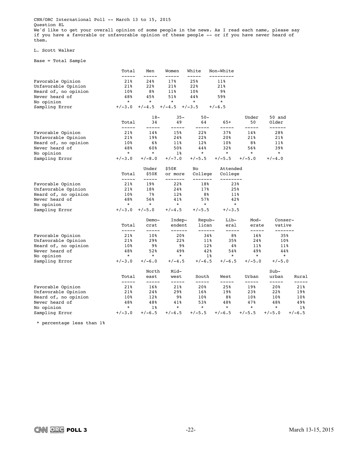CNN/ORC International Poll -- March 13 to 15, 2015 Question 8L We'd like to get your overall opinion of some people in the news. As I read each name, please say if you have a favorable or unfavorable opinion of these people -- or if you have never heard of them.

#### L. Scott Walker

Base = Total Sample

|                      | Total           | Men                  | Women              | White              | Non-White           |                 |                   |          |
|----------------------|-----------------|----------------------|--------------------|--------------------|---------------------|-----------------|-------------------|----------|
| Favorable Opinion    | -----<br>21%    | 24%                  | 17%                | 25%                | --------<br>11%     |                 |                   |          |
| Unfavorable Opinion  | 21%             | 22%                  | 21%                | 22%                | 21%                 |                 |                   |          |
| Heard of, no opinion | 10 <sub>8</sub> | 8%                   | 11%                | $10\%$             | 98                  |                 |                   |          |
| Never heard of       | 48%             | 45%                  | 51%                | 44%                | 59%                 |                 |                   |          |
| No opinion           | $\star$         | $\star$              | $\star$            | $\star$            | $\star$             |                 |                   |          |
| Sampling Error       | $+/-3.0$        | $+/-4.5$             | $+/-4.5$           | $+/-3.5$           | $+/-6.5$            |                 |                   |          |
|                      |                 | $18-$                | $35 -$             | $50 -$             |                     | Under           | 50 and            |          |
|                      | Total           | 34                   | 49                 | 64                 | $65+$               | 50              | Older             |          |
| Favorable Opinion    | -----<br>21%    | -----<br>14%         | -----<br>15%       | -----<br>22%       | -----<br>37%        | -----<br>14%    | ------<br>28%     |          |
| Unfavorable Opinion  | 21%             | 19%                  | 24%                | 22%                | 20%                 | 21%             | 21%               |          |
| Heard of, no opinion | 10 <sub>8</sub> | 6%                   | 11%                | 12%                | 10%                 | 8 <sup>8</sup>  | 11%               |          |
| Never heard of       | 48%             | 60%                  | 50%                | 44%                | 32%                 | 56%             | 39%               |          |
| No opinion           | $\star$         | $\star$              | $1\%$              | $\star$            | $\star$             | $\star$         | $\star$           |          |
| Sampling Error       | $+/-3.0$        | $+/-8.0$             | $+/-7.0$           | $+/-5.5$           | $+/-5.5$            | $+/-5.0$        | $+/-4.0$          |          |
|                      |                 | Under                | \$50K              | No                 | Attended            |                 |                   |          |
|                      | Total           | \$50K<br>$- - - - -$ | or more<br>------- | College<br>------- | College<br>-------- |                 |                   |          |
| Favorable Opinion    | -----<br>21%    | 19%                  | 22%                | 18%                | 23%                 |                 |                   |          |
| Unfavorable Opinion  | 21%             | 18%                  | 24%                | 17%                | 25%                 |                 |                   |          |
| Heard of, no opinion | 10%             | 7%                   | 12%                | 8%                 | 11%                 |                 |                   |          |
| Never heard of       | 48%             | 56%                  | 41%                | 57%                | 42%                 |                 |                   |          |
| No opinion           | $^\star$        | $^\star$             | $\star$            | $\star$            | $\star$             |                 |                   |          |
| Sampling Error       | $+/-3.0$        | $+/-5.0$             | $+/-4.5$           | $+/-5.5$           | $+/-3.5$            |                 |                   |          |
|                      |                 | Demo-                | Indep-             | Repub-             | Lib-                | Mod-            | Conser-           |          |
|                      | Total<br>-----  | crat<br>-----        | endent<br>------   | lican<br>------    | eral<br>-----       | erate<br>-----  | vative<br>------- |          |
| Favorable Opinion    | 21%             | 10 <sub>8</sub>      | 20%                | 34%                | 8%                  | 16%             | 35%               |          |
| Unfavorable Opinion  | 21%             | 29%                  | 22%                | 11%                | 35%                 | 24%             | 10%               |          |
| Heard of, no opinion | 10%             | 98                   | 98                 | 12%                | 4%                  | 11%             | 11%               |          |
| Never heard of       | 48%             | 52%                  | 49%                | 42%                | 54%                 | 49%             | 44%               |          |
| No opinion           | $\star$         | $\star$              | $\star$            | $1\%$              | $\star$             | $\star$         | $\star$           |          |
| Sampling Error       | $+/-3.0$        | $+/-6.0$             | $+/-4.5$           | $+/-6.5$           | $+/-6.5$            | $+/-5.0$        | $+/-5.0$          |          |
|                      |                 | North                | Mid-               |                    |                     |                 | $Sub-$            |          |
|                      | Total<br>-----  | east<br>-----        | west<br>-----      | South<br>-----     | West<br>-----       | Urban<br>-----  | urban<br>-----    | Rural    |
| Favorable Opinion    | 21%             | 16%                  | 21%                | 20%                | 25%                 | 19%             | 20%               | 21%      |
| Unfavorable Opinion  | 21%             | 24%                  | 29%                | 16%                | 19%                 | 23%             | 22%               | 19%      |
| Heard of, no opinion | 10%             | 12%                  | 98                 | 10%                | 8%                  | 10 <sub>8</sub> | 10%               | 10%      |
| Never heard of       | 48%             | 48%                  | 41%                | 53%                | 48%                 | 47%             | 48%               | 49%      |
| No opinion           | $^\star$        | $1\%$                | $\star$            | $\star$            | $\star$             | $\star$         | $\star$           | $1\,$    |
| Sampling Error       | $+/-3.0$        | $+/-6.5$             | $+/-6.5$           | $+/-5.5$           | $+/-6.5$            | $+/-5.5$        | $+/-5.0$          | $+/-6.5$ |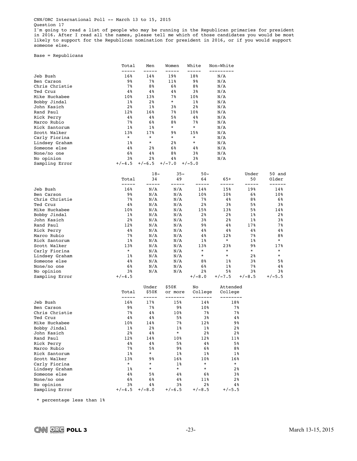I'm going to read a list of people who may be running in the Republican primaries for president in 2016. After I read all the names, please tell me which of those candidates you would be most likely to support for the Republican nomination for president in 2016, or if you would support someone else.

Base = Republicans

|                             | Total           | Men                     | Women                       | White                    | Non-White                       |                |                 |
|-----------------------------|-----------------|-------------------------|-----------------------------|--------------------------|---------------------------------|----------------|-----------------|
|                             | -----           | -----                   | -----                       | -----                    | ---------                       |                |                 |
| Jeb Bush                    | 16%             | 14%                     | 19%                         | 18%                      | N/A                             |                |                 |
| Ben Carson                  | 98              | 7%                      | 11%                         | 98                       | N/A                             |                |                 |
| Chris Christie              | 78              | 8%                      | 6%                          | 88                       | N/A                             |                |                 |
| Ted Cruz                    | 4%              | 4%                      | 4%                          | 38                       | N/A                             |                |                 |
| Mike Huckabee               | 10 <sub>8</sub> | 13%                     | 78                          | 10 <sub>8</sub>          | N/A                             |                |                 |
| Bobby Jindal<br>John Kasich | 1%              | 2%                      | $^\star$                    | $1\%$                    | N/A                             |                |                 |
|                             | 2%              | 1%<br>16%               | 38<br>78                    | $2\,$<br>$10\%$          | N/A                             |                |                 |
| Rand Paul                   | 12%<br>4%       | 4%                      | 58                          | 4%                       | N/A<br>N/A                      |                |                 |
| Rick Perry<br>Marco Rubio   | 7%              | 6%                      | 88                          | 7%                       | N/A                             |                |                 |
| Rick Santorum               | 1%              | $1\%$                   | $^{\star}$                  | $^\star$                 | N/A                             |                |                 |
| Scott Walker                | 13%             | 17%                     | 98                          | 15%                      | N/A                             |                |                 |
| Carly Fiorina               | $^\star$        | $^\star$                | $^{\star}$                  | *                        | N/A                             |                |                 |
| Lindsey Graham              | 18              | $\star$                 | 2%                          | $\star$                  | N/A                             |                |                 |
| Someone else                | 4%              | 2%                      | 6%                          | 4%                       | N/A                             |                |                 |
| None/no one                 | 6%              | 4%                      | 88                          | 38                       | N/A                             |                |                 |
| No opinion                  | 38              | 2 <sub>8</sub>          | 4%                          | 3%                       | N/A                             |                |                 |
| Sampling Error              | $+/-4.5$        | $+/-6.5$                | $+/-7.0$                    | $+/-5.0$                 |                                 |                |                 |
|                             |                 | $18-$                   | $35 -$                      | $50 -$                   |                                 | Under          | 50 and          |
|                             | Total<br>-----  | 34<br>-----             | 49<br>-----                 | 64<br>-----              | 65+<br>-----                    | 50<br>-----    | Older<br>------ |
| Jeb Bush                    | 16%             | N/A                     | N/A                         | 14%                      | 15%                             | 19%            | 14%             |
| Ben Carson                  | 98              | N/A                     | N/A                         | 10%                      | 10%                             | 6%             | 10%             |
| Chris Christie              | 7%              | N/A                     | N/A                         | 7%                       | 4%                              | 8%             | 6%              |
| Ted Cruz                    | 4%              | N/A                     | N/A                         | $2\,$                    | 38                              | 5%             | 38              |
| Mike Huckabee               | 10%             | N/A                     | N/A                         | 15%                      | 13%                             | 5%             | 14%             |
| Bobby Jindal                | 1%              | N/A                     | N/A                         | 2%                       | 2%                              | 1%             | 2%              |
| John Kasich                 | 2 <sub>8</sub>  | N/A                     | N/A                         | 38                       | 2%                              | 1%             | 38              |
| Rand Paul                   | 12%             | N/A                     | N/A                         | 98                       | 4%                              | 17%            | 7%              |
| Rick Perry                  | 4%              | N/A                     | N/A                         | 48                       | 48                              | 4%             | 4 %             |
| Marco Rubio                 | 7%              | N/A                     | N/A                         | 4%                       | 12%                             | 7%             | 8%              |
| Rick Santorum               | 1%              | N/A                     | N/A                         | 18                       | *                               | 1%             | $\star$         |
| Scott Walker                | 13%             | N/A                     | N/A                         | 13%                      | 23%                             | 98             | 17%             |
| Carly Fiorina               | $^\star$        | N/A                     | N/A                         | *                        | *                               | $^\star$       | $^\star$        |
| Lindsey Graham              | 18              | N/A                     | N/A                         | *                        | *                               | 2 <sub>8</sub> | $^\star$        |
| Someone else                | 4 %             | N/A                     | N/A                         | 88                       | 18                              | 38             | 5%              |
| None/no one                 | 6%              | N/A                     | N/A                         | 6%                       | 1%                              | 7%             | 4 %             |
| No opinion                  | 38              | N/A                     | N/A                         | $2\,$                    | 58                              | 38             | 3%              |
| Sampling Error              | $+/-4.5$        |                         |                             | $+/-8.0$                 | $+/-7.5$                        | $+/-8.5$       | $+/-5.5$        |
|                             | Total<br>-----  | Under<br>\$50K<br>----- | \$50K<br>or more<br>------- | No<br>College<br>------- | Attended<br>College<br>-------- |                |                 |
| Jeb Bush                    | 16%             | 17%                     | 15%                         | 14%                      | 18%                             |                |                 |
| Ben Carson                  | 98              | 78                      | 98                          | 10%                      |                                 | 78             |                 |
| Chris Christie              | 7%              | 4%                      | 10%                         | 78                       |                                 | 78             |                 |
| Ted Cruz                    | 4%              | 4%                      | 5%                          | 38                       |                                 | 4%             |                 |
| Mike Huckabee               | 10%             | 14%                     | 7%                          | 12%                      |                                 | 9%             |                 |
| Bobby Jindal                | $1\,$           | 2%                      | $1\%$                       | $1\%$                    |                                 | 2%             |                 |
| John Kasich                 | 2%              | 4%                      | $\star$                     | 28                       |                                 | 2%             |                 |
| Rand Paul                   | 12%             | 14%                     | 10%                         | 12%                      | 11%                             |                |                 |
| Rick Perry                  | 4%              | 4%                      | 5%                          | 4%                       |                                 | 5%             |                 |
| Marco Rubio                 | 7%              | 5%                      | 98                          | 6%                       |                                 | 8%             |                 |
| Rick Santorum               | 18              | $\star$                 | $1\%$                       | $1\%$                    |                                 | $1\%$          |                 |
| Scott Walker                | 13%             | 98                      | 16%                         | 10%                      | 16%                             |                |                 |
| Carly Fiorina               | $^\star$        | $\star$                 | $1\%$                       | $^{\star}$<br>$\star$    | $\star$                         |                |                 |
| Lindsey Graham              | $1\%$           | $\star$                 | $^{\star}$                  |                          |                                 | 2%             |                 |
| Someone else                | 4%              | 5%                      | 4%                          | 6%                       |                                 | 38             |                 |
| None/no one<br>No opinion   | 6%<br>3%        | 6%                      | 4%<br>3%                    | 11%                      |                                 | 2 %            |                 |
| Sampling Error              | $+/-4.5$        | 4%<br>$+/-8.0$          | $+/-6.5$                    | 2 %<br>$+/-8.5$          | $+/-5.5$                        | 4%             |                 |
|                             |                 |                         |                             |                          |                                 |                |                 |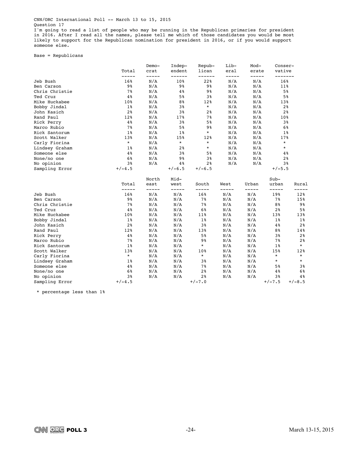I'm going to read a list of people who may be running in the Republican primaries for president in 2016. After I read all the names, please tell me which of those candidates you would be most likely to support for the Republican nomination for president in 2016, or if you would support someone else.

Base = Republicans

| -----<br>-----<br>------<br>-----<br>-----<br>-------<br>----<br>16%<br>N/A<br>22%<br>N/A<br>N/A<br>16%<br>Jeb Bush<br>10%<br>$9\,$<br>N/A<br>N/A<br>9%<br>9%<br>N/A<br>11%<br>Ben Carson<br>7%<br>N/A<br>5%<br>Chris Christie<br>N/A<br>4%<br>9%<br>N/A<br>4%<br>N/A<br>N/A<br>N/A<br>5%<br>3%<br>5%<br>Ted Cruz<br>N/A<br>N/A<br>N/A<br>Mike Huckabee<br>10%<br>8%<br>12%<br>13% |           |
|------------------------------------------------------------------------------------------------------------------------------------------------------------------------------------------------------------------------------------------------------------------------------------------------------------------------------------------------------------------------------------|-----------|
|                                                                                                                                                                                                                                                                                                                                                                                    |           |
|                                                                                                                                                                                                                                                                                                                                                                                    |           |
|                                                                                                                                                                                                                                                                                                                                                                                    |           |
|                                                                                                                                                                                                                                                                                                                                                                                    |           |
|                                                                                                                                                                                                                                                                                                                                                                                    |           |
| $1\%$<br>$\star$<br>N/A<br>N/A<br>Bobby Jindal<br>N/A<br>3%<br>2%                                                                                                                                                                                                                                                                                                                  |           |
| 2%<br>N/A<br>3%<br>N/A<br>N/A<br>2%<br>John Kasich<br>2 <sub>8</sub>                                                                                                                                                                                                                                                                                                               |           |
| 12%<br>N/A<br>N/A<br>N/A<br>Rand Paul<br>17%<br>7%<br>10%                                                                                                                                                                                                                                                                                                                          |           |
| 4%<br>N/A<br>3%<br>5%<br>N/A<br>N/A<br>3%<br>Rick Perry                                                                                                                                                                                                                                                                                                                            |           |
| 7%<br>N/A<br>5%<br>9 <sub>8</sub><br>N/A<br>N/A<br>6%<br>Marco Rubio                                                                                                                                                                                                                                                                                                               |           |
| $\star$<br>Rick Santorum<br>$1\%$<br>N/A<br>$1\%$<br>N/A<br>N/A<br>1%                                                                                                                                                                                                                                                                                                              |           |
| Scott Walker<br>13%<br>N/A<br>15%<br>12%<br>N/A<br>N/A<br>17%                                                                                                                                                                                                                                                                                                                      |           |
| $\star$<br>$\star$<br>$^{\star}$<br>$\star$<br>N/A<br>Carly Fiorina<br>N/A<br>N/A                                                                                                                                                                                                                                                                                                  |           |
| ¥<br>N/A<br>$^\star$<br>$1\%$<br>N/A<br>2%<br>N/A<br>Lindsey Graham                                                                                                                                                                                                                                                                                                                |           |
| 4%<br>N/A<br>N/A<br>N/A<br>Someone else<br>3%<br>5%<br>4%                                                                                                                                                                                                                                                                                                                          |           |
| 6%<br>N/A<br>N/A<br>None/no one<br>N/A<br>9%<br>3%<br>2%                                                                                                                                                                                                                                                                                                                           |           |
| No opinion<br>3%<br>N/A<br>N/A<br>N/A<br>3%<br>4%<br>2%                                                                                                                                                                                                                                                                                                                            |           |
| Sampling Error<br>$+/-4.5$<br>$+/-6.5$<br>$+/-6.5$<br>$+/-5.5$                                                                                                                                                                                                                                                                                                                     |           |
| Mid-<br>$Sub-$<br>North<br>Total<br>South<br>Urban<br>urban<br>east<br>west<br>West                                                                                                                                                                                                                                                                                                | Rural     |
| -----<br>-----<br>-----<br>-----<br>-----<br>-----<br>-----                                                                                                                                                                                                                                                                                                                        |           |
| 16%<br>N/A<br>N/A<br>16%<br>N/A<br>N/A<br>19%<br>Jeb Bush                                                                                                                                                                                                                                                                                                                          | 12%       |
| 7%<br>N/A<br>$7\%$<br>9%<br>N/A<br>N/A<br>N/A<br>Ben Carson<br>7%<br>7%                                                                                                                                                                                                                                                                                                            | 15%       |
| Chris Christie<br>N/A<br>N/A<br>N/A<br>N/A<br>8%                                                                                                                                                                                                                                                                                                                                   | 9%        |
| 4%<br>Ted Cruz<br>N/A<br>N/A<br>6%<br>N/A<br>N/A<br>2%<br>Mike Huckabee<br>N/A<br>11%<br>N/A<br>13%                                                                                                                                                                                                                                                                                | 5%<br>13% |
| 10%<br>N/A<br>N/A<br>$1\%$<br>N/A<br>N/A<br>N/A<br>N/A<br>Bobby Jindal<br>$1\%$<br>$1\%$                                                                                                                                                                                                                                                                                           | $1\%$     |
| 2%<br>N/A<br>N/A<br>3%<br>N/A<br>N/A<br>John Kasich<br>4%                                                                                                                                                                                                                                                                                                                          | 2%        |
| 12%<br>N/A<br>N/A<br>N/A<br>N/A<br>Rand Paul<br>13%<br>8%                                                                                                                                                                                                                                                                                                                          | 14%       |
| 4%<br>N/A<br>N/A<br>5%<br>N/A<br>N/A<br>3%                                                                                                                                                                                                                                                                                                                                         | 2%        |
| Rick Perry<br>7%<br>N/A<br>N/A<br>9%<br>N/A<br>N/A<br>7%<br>Marco Rubio                                                                                                                                                                                                                                                                                                            | 2%        |
| $1\%$<br>$\star$<br>N/A<br>N/A<br>N/A<br>N/A<br>$1\%$<br>Rick Santorum                                                                                                                                                                                                                                                                                                             | $\star$   |
| 13%<br>N/A<br>N/A<br>N/A<br>N/A<br>15%<br>Scott Walker<br>10%                                                                                                                                                                                                                                                                                                                      | 12%       |
| $\star$<br>$^\star$<br>$\star$<br>Carly Fiorina<br>N/A<br>N/A<br>N/A<br>N/A                                                                                                                                                                                                                                                                                                        | $\star$   |
| N/A<br>N/A<br>$\star$<br>Lindsey Graham<br>$1\%$<br>N/A<br>N/A<br>3%                                                                                                                                                                                                                                                                                                               | $^\star$  |
| N/A<br>N/A<br>Someone else<br>4%<br>N/A<br>7%<br>N/A<br>5%                                                                                                                                                                                                                                                                                                                         | 38        |
| N/A<br>N/A<br>N/A<br>None/no one<br>6%<br>N/A<br>2%<br>4%                                                                                                                                                                                                                                                                                                                          | 6%        |
| 3%<br>2%<br>No opinion<br>N/A<br>N/A<br>N/A<br>N/A<br>3%                                                                                                                                                                                                                                                                                                                           | 4%        |
| Sampling Error<br>$+/-4.5$<br>$+/-7.0$<br>$+/-7.5$                                                                                                                                                                                                                                                                                                                                 | $+/-8.5$  |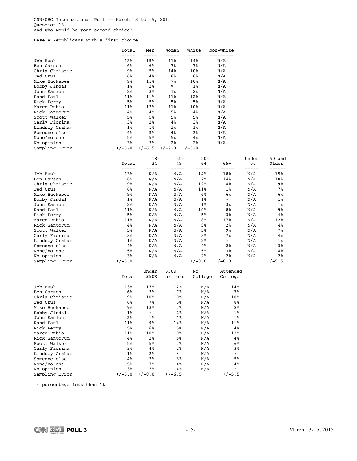CNN/ORC International Poll -- March 13 to 15, 2015 Question 18 And who would be your second choice?

Base = Republicans with a first choice

|                              | Total          | Men            | Women              | White                 | Non-White           |             |                 |
|------------------------------|----------------|----------------|--------------------|-----------------------|---------------------|-------------|-----------------|
| Jeb Bush                     | -----<br>13%   | 15%            | -----<br>11%       | 14%                   | --------<br>N/A     |             |                 |
| Ben Carson                   | 6%             | 6%             | 7%                 | 78                    | N/A                 |             |                 |
| Chris Christie               | 98             | 5%             | 14%                | 10 <sub>8</sub>       | N/A                 |             |                 |
| Ted Cruz                     | 6%             | 4%             | 88                 | 6%                    | N/A                 |             |                 |
| Mike Huckabee                | 98             | 11%            | 7%                 | 10 <sub>8</sub>       | N/A                 |             |                 |
| Bobby Jindal                 | 1%             | 2%             | $^\star$           | 18                    | N/A                 |             |                 |
| John Kasich                  | 2 <sub>8</sub> | 38             | 1%                 | 2%                    | N/A                 |             |                 |
| Rand Paul                    | 11%            | 11%            | 11%                | 12%                   | N/A                 |             |                 |
| Rick Perry                   | 58             | 5%             | 58                 | 5%                    | N/A                 |             |                 |
| Marco Rubio<br>Rick Santorum | 11%<br>4%      | 12%<br>4%      | 11%<br>58          | 10 <sub>8</sub><br>4% | N/A<br>N/A          |             |                 |
| Scott Walker                 | 5%             | 5%             | 58                 | 5%                    | N/A                 |             |                 |
| Carly Fiorina                | 38             | 2%             | 4%                 | 38                    | N/A                 |             |                 |
| Lindsey Graham               | 1%             | $1\%$          | 1%                 | 1%                    | N/A                 |             |                 |
| Someone else                 | 4%             | 5%             | 4%                 | 38                    | N/A                 |             |                 |
| None/no one                  | 5%             | 5%             | 58                 | 4%                    | N/A                 |             |                 |
| No opinion                   | 38             | 38             | 2%                 | 2%                    | N/A                 |             |                 |
| Sampling Error               | $+/-5.0$       | $+/-6.5$       | $+/-7.0$           | $+/-5.0$              |                     |             |                 |
|                              |                | $18-$          | $35 -$             | $50 -$                |                     | Under       | 50 and          |
|                              | Total<br>----- | 34<br>-----    | 49<br>-----        | 64<br>-----           | $65+$<br>-----      | 50<br>----- | Older<br>------ |
| Jeb Bush                     | 13%            | N/A            | N/A                | 14%                   | 18%                 | N/A         | 15%             |
| Ben Carson                   | 6%             | N/A            | N/A                | 7%                    | 14%                 | N/A         | 10%             |
| Chris Christie               | 98             | N/A            | N/A                | 12%                   | 48                  | N/A         | 98              |
| Ted Cruz                     | 6%             | N/A            | N/A                | 11%                   | 1%                  | N/A         | 7%              |
| Mike Huckabee                | 98             | N/A            | N/A                | 6%                    | 6%                  | N/A         | 6%              |
| Bobby Jindal                 | 1%             | N/A            | N/A                | 1%                    | $^\star$            | N/A         | 18              |
| John Kasich                  | 2 <sub>8</sub> | N/A            | N/A                | 1%                    | 38                  | N/A         | 18              |
| Rand Paul                    | 11%            | N/A            | N/A                | 10%                   | 8%                  | N/A         | 98              |
| Rick Perry                   | 5%             | N/A            | N/A                | 58                    | 38                  | N/A         | 4 %             |
| Marco Rubio<br>Rick Santorum | 11%<br>4 %     | N/A<br>N/A     | N/A<br>N/A         | 8%<br>5%              | 17%<br>2%           | N/A<br>N/A  | 12%<br>4 %      |
| Scott Walker                 | 5%             | N/A            | N/A                | 5%                    | 98                  | N/A         | 7%              |
| Carly Fiorina                | 38             | N/A            | N/A                | 38                    | 7%                  | N/A         | 4 %             |
| Lindsey Graham               | 18             | N/A            | N/A                | 28                    | *                   | N/A         | 18              |
| Someone else                 | 4%             | N/A            | N/A                | 4%                    | 2%                  | N/A         | 3%              |
| None/no one                  | 5%             | N/A            | N/A                | 5%                    | 38                  | N/A         | 4%              |
| No opinion                   | 38             | N/A            | N/A                | $2\,$                 | 2%                  | N/A         | 2 <sup>8</sup>  |
| Sampling Error               | $+/-5.0$       |                |                    | $+/-8.0$              | $+/-8.0$            |             | $+/-5.5$        |
|                              |                | Under          | \$50K              | No                    | Attended            |             |                 |
|                              | Total<br>----- | \$50K<br>----- | or more<br>------- | College<br>-------    | College<br>-------- |             |                 |
| Jeb Bush                     | 13%            | 17%            | 12%                | N/A                   | 14%                 |             |                 |
| Ben Carson                   | 68             | 38             | 78                 | N/A                   | 78                  |             |                 |
| Chris Christie               | 98             | 10%            | 10%                | N/A                   | 10 <sub>8</sub>     |             |                 |
| Ted Cruz                     | 6%             | 7%             | 5%                 | N/A                   | 8%                  |             |                 |
| Mike Huckabee                | 98             | 13%            | 7%                 | N/A                   | 8%                  |             |                 |
| Bobby Jindal                 | $1\%$          | $\star$        | 2%                 | N/A                   | 1%                  |             |                 |
| John Kasich                  | 2%             | $1\%$          | $1\%$              | N/A                   | $1\%$               |             |                 |
| Rand Paul                    | 11%            | 98             | 14%                | N/A                   | 11%                 |             |                 |
| Rick Perry                   | 5%             | 6%             | $5\,$              | N/A                   | $4\,$               |             |                 |
| Marco Rubio<br>Rick Santorum | 11%<br>4 %     | 10%<br>2%      | 10%<br>6%          | N/A<br>N/A            | 13%<br>$4\,$        |             |                 |
| Scott Walker                 | 5%             | 5%             | 7%                 | N/A                   | 6%                  |             |                 |
| Carly Fiorina                | 38             | 4%             | 2 <sup>°</sup>     | N/A                   | 3%                  |             |                 |
| Lindsey Graham               | $1\,$          | 2%             | $\star$            | N/A                   | $\star$             |             |                 |
| Someone else                 | 4 %            | 2%             | 6%                 | N/A                   | 5%                  |             |                 |
| None/no one                  | 5%             | 7%             | 4%                 | N/A                   | 4%                  |             |                 |
| No opinion                   | 38             | 2%             | 4%                 | N/A                   | $\star$             |             |                 |
| Sampling Error               | $+/-5.0$       | $+/-8.0$       | $+/-6.5$           |                       | $+/-5.5$            |             |                 |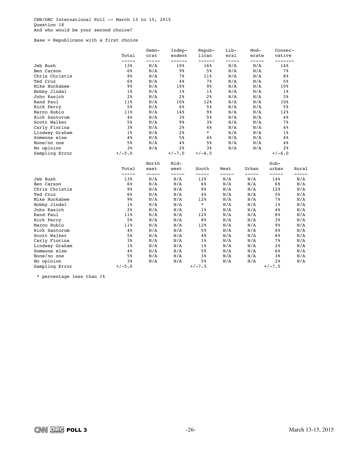Base = Republicans with a first choice

|                | Total          | Demo-<br>crat | Indep-<br>endent | Repub-<br>lican | Lib-<br>eral | Mod-<br>erate | Conser-<br>vative |       |
|----------------|----------------|---------------|------------------|-----------------|--------------|---------------|-------------------|-------|
| Jeb Bush       | -----<br>13%   | -----<br>N/A  | ------<br>10%    | ------<br>16%   | N/A          | -----<br>N/A  | 14%               |       |
| Ben Carson     | 6%             | N/A           | $9\%$            | 5%              | N/A          | N/A           | 7%                |       |
| Chris Christie | $9\,$          | N/A           | 7%               | 11%             | N/A          | N/A           | 8%                |       |
| Ted Cruz       | 6%             | N/A           | 4%               | 7%              | N/A          | N/A           | 5%                |       |
| Mike Huckabee  | $9\,$          | N/A           | 10%              | 9%              | N/A          | N/A           | 10%               |       |
| Bobby Jindal   | $1\%$          | N/A           | $1\%$            | 1 <sup>°</sup>  | N/A          | N/A           | $1\%$             |       |
| John Kasich    | 2%             | N/A           | 2%               | 2 <sup>°</sup>  | N/A          | N/A           | 3%                |       |
| Rand Paul      | 11%            | N/A           | 10%              | 12%             | N/A          | N/A           | 10%               |       |
| Rick Perry     | 5%             | N/A           | 6%               | 5%              | N/A          | N/A           | 5%                |       |
| Marco Rubio    | 11%            | N/A           | 14%              | 9%              | N/A          | N/A           | 12%               |       |
| Rick Santorum  | 4%             | N/A           | 3%               | 5%              | N/A          | N/A           | $4\%$             |       |
| Scott Walker   | 5%             | N/A           | 9%               | 3%              | N/A          | N/A           | 7%                |       |
| Carly Fiorina  | 3%             | N/A           | 2%               | $4\,$           | N/A          | N/A           | $4\,$             |       |
| Lindsey Graham | $1\%$          | N/A           | 2 <sup>°</sup>   | $\star$         | N/A          | N/A           | $1\%$             |       |
| Someone else   | 4%             | N/A           | 5%               | $4\%$           | N/A          | N/A           | $4\,$             |       |
| None/no one    | 5%             | N/A           | 4%               | 5%              | N/A          | N/A           | $4\,$ %           |       |
| No opinion     | 3%             | N/A           | 2%               | 3%              | N/A          | N/A           | 2 <sup>°</sup>    |       |
| Sampling Error | $+/-5.0$       |               | $+/-7.0$         | $+/-6.5$        |              |               | $+/-6.0$          |       |
|                | Total          | North<br>east | Mid-<br>west     | South           | West         | Urban         | $Sub-$<br>urban   | Rural |
|                | -----          | -----         | -----            | -----           | -----        | -----         | -----             |       |
| Jeb Bush       | 13%            | N/A           | N/A              | 12%             | N/A          | N/A           | 14%               | N/A   |
| Ben Carson     | 6%             | N/A           | N/A              | 6%              | N/A          | N/A           | 6%                | N/A   |
| Chris Christie | $9\,$          | N/A           | N/A              | 9%              | N/A          | N/A           | 12%               | N/A   |
| Ted Cruz       | 6%             | N/A           | N/A              | 4%              | N/A          | N/A           | 5%                | N/A   |
| Mike Huckabee  | $9\frac{6}{6}$ | N/A           | N/A              | 12%             | N/A          | N/A           | 7%                | N/A   |
| Bobby Jindal   | $1\%$          | N/A           | N/A              | $\star$         | N/A          | N/A           | $1\%$             | N/A   |
| John Kasich    | 2%             | N/A           | N/A              | 1%              | N/A          | N/A           | $4\,$ %           | N/A   |
| Rand Paul      | 11%            | N/A           | N/A              | 12%             | N/A          | N/A           | 6%                | N/A   |
| Rick Perry     | 5%             | N/A           | N/A              | 8 <sup>°</sup>  | N/A          | N/A           | 3%                | N/A   |
| Marco Rubio    | 11%            | N/A           | N/A              | 12%             | N/A          | N/A           | 98                | N/A   |
| Rick Santorum  | 4%             | N/A           | N/A              | 5%              | N/A          | N/A           | 6%                | N/A   |
| Scott Walker   | 5%             | N/A           | N/A              | 4%              | N/A          | N/A           | 6%                | N/A   |
| Carly Fiorina  | 3%             | N/A           | N/A              | $1\%$           | N/A          | N/A           | 7%                | N/A   |
| Lindsey Graham | $1\%$          | N/A           | N/A              | $1\%$           | N/A          | N/A           | 2%                | N/A   |
| Someone else   | 4%             | N/A           | N/A              | 5%              | N/A          | N/A           | 6%                | N/A   |
| None/no one    | 5%             | N/A           | N/A              | 3%              | N/A          | N/A           | 38                | N/A   |
| No opinion     | 3%             | N/A           | N/A              | 5%              | N/A          | N/A           | 2 <sup>8</sup>    | N/A   |
| Sampling Error | $+/-5.0$       |               |                  | $+/-7.5$        |              |               | $+/-7.5$          |       |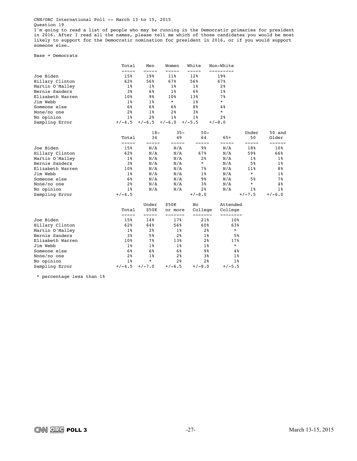I'm going to read a list of people who may be running in the Democratic primaries for president in 2016. After I read all the names, please tell me which of those candidates you would be most likely to support for the Democratic nomination for president in 2016, or if you would support someone else.

Base = Democrats

|                  | Total          | Men            | Women          | White          | Non-White      |             |            |
|------------------|----------------|----------------|----------------|----------------|----------------|-------------|------------|
| Joe Biden        | 15%            | 19%            | 11%            | 12%            | 19%            |             |            |
| Hillary Clinton  | 62%            | 56%            | 67%            | 56%            | 67%            |             |            |
| Martin O'Malley  | 18             | $1\%$          | $1\%$          | $1\%$          | 2%             |             |            |
| Bernie Sanders   | 3%             | 6%             | $1\%$          | 6%             | $1\%$          |             |            |
| Elizabeth Warren | 10%            | 9%             | 10%            | 13%            | $7\%$          |             |            |
| Jim Webb         | $1\%$          | $1\%$          | $\star$        | $1\%$          | $\star$        |             |            |
| Someone else     | 6%             | 6%             | 6%             | 8%             | $4\,$          |             |            |
| None/no one      | 2%             | $1\%$          | 2 <sup>8</sup> | 3%             | $\star$        |             |            |
| No opinion       | $1\%$          | 2 <sup>8</sup> | $1\%$          | $1\%$          | 2 <sup>8</sup> |             |            |
| Sampling Error   | $+/-4.5$       | $+/-6.5$       | $+/-6.0$       | $+/-5.5$       | $+/-8.0$       |             |            |
|                  |                | $18-$          | $35 -$         | $50 -$         |                | Under       | 50 and     |
|                  | Total<br>----- | 34             | 49             | 64             | $65+$          | 50<br>----- | Older      |
| Joe Biden        | 15%            | N/A            | N/A            | 9 <sub>8</sub> | N/A            | 18%         | $10\%$     |
| Hillary Clinton  | 62%            | N/A            | N/A            | 67%            | N/A            | 59%         | 66%        |
| Martin O'Malley  | $1\%$          | N/A            | N/A            | 2 <sub>8</sub> | N/A            | $1\%$       | $1\,$ $\,$ |
| Bernie Sanders   | 3%             | N/A            | N/A            | *              | N/A            | 5%          | $1\%$      |
| Elizabeth Warren | 10%            | N/A            | N/A            | 7 %            | N/A            | 11%         | 8%         |
| Jim Webb         | $1\%$          | N/A            | N/A            | $1\%$          | N/A            | $\star$     | $1\%$      |
| Someone else     | 6%             | N/A            | N/A            | 9%             | N/A            | 5%          | 7%         |
| None/no one      | 2 <sup>°</sup> | N/A            | N/A            | 3%             | N/A            | $\star$     | 4%         |
| No opinion       | $1\%$          | N/A            | N/A            | 2%             | N/A            | 18          | $1\%$      |
| Sampling Error   | $+/-4.5$       |                |                | $+/-8.0$       |                | $+/-7.5$    | $+/-6.0$   |
|                  |                | Under          | \$50K          | No             | Attended       |             |            |
|                  | Total<br>----- | \$50K          | or more        | College        | College        |             |            |
| Joe Biden        | 15%            | 14%            | 17%            | 21%            | 10%            |             |            |
| Hillary Clinton  | 62%            | 64%            | 56%            | 60%            | 63%            |             |            |
| Martin O'Malley  | $1\%$          | 2 <sup>8</sup> | $1\%$          | 2%             | $\star$        |             |            |
| Bernie Sanders   | 3%             | 5%             | 2%             | $1\%$          |                | 5%          |            |
| Elizabeth Warren | 10%            | 7%             | 13%            | 2%             | 17%            |             |            |
| Jim Webb         | $1\%$          | $1\%$          | $1\,$          | $1\%$          | $\star$        |             |            |
| Someone else     | 6%             | 6%             | 6%             | 9 <sub>8</sub> |                | 4%          |            |
| None/no one      | 2%             | $1\%$          | 2%             | 3%             |                | $1\%$       |            |
| No opinion       | $1\%$          | $\star$        | 2 <sup>°</sup> | 2 <sup>8</sup> |                | $1\%$       |            |
| Sampling Error   | $+/-4.5$       | $+/-7.0$       | $+/-6.5$       | $+/-8.0$       | $+/-5.5$       |             |            |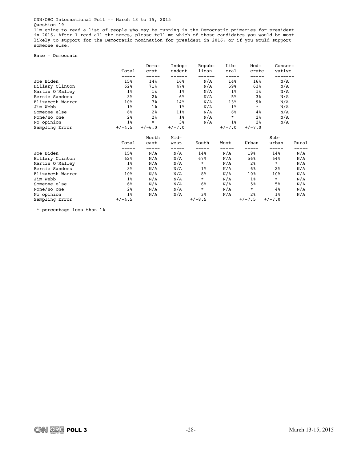I'm going to read a list of people who may be running in the Democratic primaries for president in 2016. After I read all the names, please tell me which of those candidates you would be most likely to support for the Democratic nomination for president in 2016, or if you would support someone else.

Base = Democrats

|                  | Total          | $Demo-$<br>crat | Indep-<br>endent | Repub-<br>lican | Lib-<br>eral | Mod-<br>erate  | $Conser-$<br>vative |       |
|------------------|----------------|-----------------|------------------|-----------------|--------------|----------------|---------------------|-------|
|                  |                |                 |                  |                 |              |                |                     |       |
| Joe Biden        | 15%            | 14%             | 16%              | N/A             | 14%          | 16%            | N/A                 |       |
| Hillary Clinton  | 62%            | 71%             | 47%              | N/A             | 59%          | 63%            | N/A                 |       |
| Martin O'Malley  | $1\%$          | $1\%$           | $1\%$            | N/A             | $1\,$        | $1\,$          | N/A                 |       |
| Bernie Sanders   | 3%             | 2 %             | 6%               | N/A             | 5%           | 3%             | N/A                 |       |
| Elizabeth Warren | 10%            | 7%ร             | 14%              | N/A             | 13%          | 9%             | N/A                 |       |
| Jim Webb         | $1\%$          | $1\%$           | $1\,$            | N/A             | $1\,$        | $\star$        | N/A                 |       |
| Someone else     | 6%             | 2 %             | $11\%$           | N/A             | 6%           | $4\%$          | N/A                 |       |
| None/no one      | 2%             | 2%              | $1\,$            | N/A             | $\star$      | 2 <sup>8</sup> | N/A                 |       |
| No opinion       | $1\%$          | $\star$         | 3%               | N/A             | $1\%$        | 2 <sup>8</sup> | N/A                 |       |
| Sampling Error   | $+/-4.5$       | $+/-6.0$        | $+/-7.0$         |                 | $+/-7.0$     | $+/-7.0$       |                     |       |
|                  |                | North           | Mid-             |                 |              |                | $Sub-$              |       |
|                  | Total          | east            | west             | South           | West         | Urban          | urban               | Rural |
| Joe Biden        | $--- -$<br>15% | -----<br>N/A    | -----<br>N/A     | 14%             | -----<br>N/A | -----<br>19%   | 14%                 | N/A   |
| Hillary Clinton  | 62%            | N/A             | N/A              | 67%             | N/A          | 56%            | 64%                 | N/A   |
| Martin O'Malley  | $1\%$          | N/A             | N/A              | $\star$         | N/A          | 2%             | $\star$             | N/A   |
| Bernie Sanders   | 3%             | N/A             | N/A              | $1\,$           | N/A          | 6%             | 2%                  | N/A   |
| Elizabeth Warren | 10%            | N/A             | N/A              | 8%              | N/A          | 10%            | 10%                 | N/A   |
| Jim Webb         | $1\,$          | N/A             | N/A              | $\star$         | N/A          | $1\%$          | $\star$             | N/A   |
| Someone else     | 6%             | N/A             | N/A              | 6%              | N/A          | 5%             | 5%                  | N/A   |
| None/no one      | 2%             | N/A             | N/A              | $\star$         | N/A          | $\star$        | 4%                  | N/A   |
| No opinion       | $1\,$          | N/A             | N/A              | 38              | N/A          | 2%             | $1\%$               | N/A   |
| Sampling Error   | $+/-4.5$       |                 |                  | $+/-8.5$        |              | $+/-7.5$       | $+/-7.0$            |       |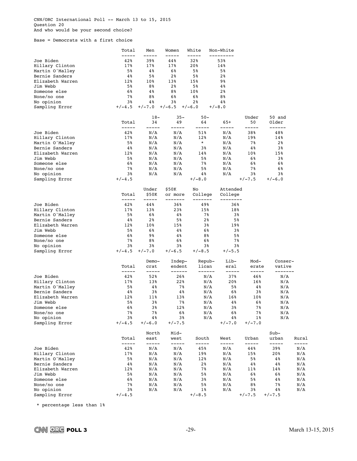CNN/ORC International Poll -- March 13 to 15, 2015 Question 20 And who would be your second choice?

Base = Democrats with a first choice

|                  | Total          | Men            | Women            | White           | Non-White      |                 |                   |              |
|------------------|----------------|----------------|------------------|-----------------|----------------|-----------------|-------------------|--------------|
| Joe Biden        | 42%            | 39%            | 44%              | 32%             | 53%            |                 |                   |              |
| Hillary Clinton  | 17%            | 17%            | 17%              | 20%             | 14%            |                 |                   |              |
| Martin O'Malley  | 5%             | 4 %            | 6%               | 5%              | 5%             |                 |                   |              |
| Bernie Sanders   | 4%             | 5%             | 2 <sub>8</sub>   | $5\%$           | 2 <sub>8</sub> |                 |                   |              |
| Elizabeth Warren | 12%            | 10%            | 13%              | 15%             | 98             |                 |                   |              |
| Jim Webb         | 5%             | 8%             | 2%               | 5%              | 4%             |                 |                   |              |
| Someone else     | 6%             | 4%             | 88               | 10 <sub>8</sub> | 2 <sub>8</sub> |                 |                   |              |
| None/no one      | 7%             | 8%             | 6%               | 6%              | 8%             |                 |                   |              |
| No opinion       | 3%             | 4%             | 3%               | $2\,$           | 4%             |                 |                   |              |
| Sampling Error   | $+/-4.5$       | $+/-7.0$       | $+/-6.5$         | $+/-6.0$        | $+/-8.0$       |                 |                   |              |
|                  |                |                |                  |                 |                |                 |                   |              |
|                  | Total          | $18-$<br>34    | $35 -$<br>49     | $50 -$<br>64    | 65+            | Under<br>50     | 50 and<br>Older   |              |
|                  | -----          | -----          | -----            | -----           | -----          | -----           | ------            |              |
| Joe Biden        | 42%            | N/A            | N/A              | 51%             | N/A            | 38%             | 48%               |              |
| Hillary Clinton  | 17%            | N/A            | N/A              | 12%<br>$^\star$ | N/A            | 19%             | 14%               |              |
| Martin O'Malley  | 5%             | N/A            | N/A              |                 | N/A            | 78              | $2\,$             |              |
| Bernie Sanders   | 4%             | N/A            | N/A              | 38              | N/A            | $4\,$           | 3%                |              |
| Elizabeth Warren | 12%            | N/A            | N/A              | 14%             | N/A            | 10%             | 15%               |              |
| Jim Webb         | 5%             | N/A            | N/A              | 5%              | N/A            | 68              | 3%                |              |
| Someone else     | 6%             | N/A            | N/A              | 7%              | N/A            | 6%              | 6%                |              |
| None/no one      | 7%             | N/A            | N/A              | 5%              | N/A            | 7%              | 6%                |              |
| No opinion       | 3%             | N/A            | N/A              | 4%              | N/A            | 38              | 3%                |              |
| Sampling Error   | $+/-4.5$       |                |                  | $+/-8.0$        |                | $+/-7.5$        | $+/-6.0$          |              |
|                  |                | Under          | \$50K            | No              | Attended       |                 |                   |              |
|                  | Total<br>----- | \$50K          | or more          | College         | College        |                 |                   |              |
| Joe Biden        | 42%            | -----<br>44%   | -------<br>36%   | -------<br>49%  | 36%            |                 |                   |              |
| Hillary Clinton  | 17%            | 13%            | 23%              | 15%             | 18%            |                 |                   |              |
| Martin O'Malley  | 5%             | 6%             | 4%               | 7%              | 3%             |                 |                   |              |
| Bernie Sanders   | 4%             | 2 <sub>8</sub> | 5%               | 2%              | 5%             |                 |                   |              |
| Elizabeth Warren | 12%            | 10%            | 15%              | 3%              | 19%            |                 |                   |              |
| Jim Webb         | 5%             | 6%             | 4%               | 6%              | 3%             |                 |                   |              |
| Someone else     | 6%             | 98             | 4%               | 8%              | $5\%$          |                 |                   |              |
| None/no one      | 7%             | 8%             | 6%               | 6%              | 7%             |                 |                   |              |
| No opinion       | 3%             | 3%             | 3%               | 3%              | 3%             |                 |                   |              |
| Sampling Error   | $+/-4.5$       | $+/-7.0$       | $+/-6.5$         | $+/-8.5$        | $+/-5.5$       |                 |                   |              |
|                  |                | Demo-          | Indep-           | Repub-          | Lib-           | Mod-            | Conser-           |              |
|                  | Total<br>----- | crat<br>-----  | endent<br>------ | lican<br>------ | eral<br>-----  | erate<br>-----  | vative<br>------- |              |
| Joe Biden        | 42%            | 52%            | 26%              | N/A             | 37%            | 46%             | N/A               |              |
| Hillary Clinton  | 17%            | 13%            | 22%              | N/A             | 20%            | 16%             | N/A               |              |
| Martin O'Malley  | 5%             | 4%             | 7%               | N/A             | 5%             | 4%              | N/A               |              |
| Bernie Sanders   | 4%             | 38             | 4%               | N/A             | 6%             | 38              | N/A               |              |
| Elizabeth Warren | 12%            | 11%            | 13%              | N/A             | 16%            | 10 <sub>8</sub> | N/A               |              |
| Jim Webb         | 5%             | 3%             | 7%               | N/A             | 4%             | 6%              | N/A               |              |
| Someone else     | 6%             | 3%             | 12%              | N/A             | 38             | 7%              | N/A               |              |
| None/no one      | 78             | 78             | 68               | N/A             | 6%             | 78              | N/A               |              |
| No opinion       | 3%             | 4%             | 38               | N/A             | 4 %            | $1\%$           | N/A               |              |
| Sampling Error   | $+/-4.5$       | $+/-6.0$       | $+/-7.5$         |                 | $+/-7.0$       | $+/-7.0$        |                   |              |
|                  |                | North          | Mid-             |                 |                |                 | Sub-              |              |
|                  | Total          | east           | west             | South           | West           | Urban           | urban             | Rural        |
| Joe Biden        | -----<br>42%   | -----<br>N/A   | -----<br>N/A     | -----<br>45%    | -----<br>N/A   | -----<br>44%    | -----<br>39%      | -----<br>N/A |
| Hillary Clinton  | 17%            | N/A            | N/A              | 19%             | N/A            | 15%             | 20%               | N/A          |
| Martin O'Malley  | 5%             | N/A            | N/A              | 12%             | N/A            | 5%              | 4 %               | N/A          |
| Bernie Sanders   | $4\,$          | N/A            | N/A              | $2\,$           | N/A            | 4%              | 4 %               | N/A          |
| Elizabeth Warren | 12%            | N/A            | N/A              | 78              | N/A            | 11%             | 14%               | N/A          |
| Jim Webb         | 5%             | N/A            | N/A              | 58              | N/A            | 68              | 6%                | N/A          |
| Someone else     | 6%             | N/A            | N/A              | 38              | N/A            | 5%              | 4 %               | N/A          |
| None/no one      | 7%             | N/A            | N/A              | 5%              | N/A            | 8%              | 7%                | N/A          |
| No opinion       | 38             | N/A            | N/A              | $1\%$           | N/A            | 38              | 4%                | N/A          |
| Sampling Error   | $+/-4.5$       |                |                  | $+/-8.5$        |                | $+/-7.5$        | $+/-7.5$          |              |

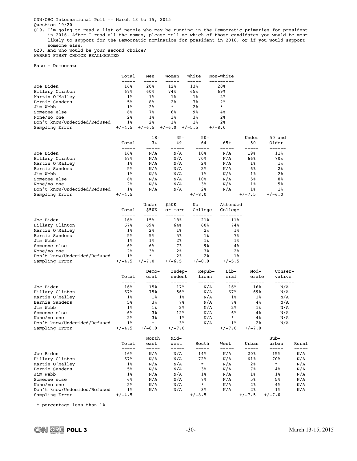CNN/ORC International Poll -- March 13 to 15, 2015 Question 19/20

Q19. I'm going to read a list of people who may be running in the Democratic primaries for president in 2016. After I read all the names, please tell me which of those candidates you would be most likely to support for the Democratic nomination for president in 2016, or if you would support someone else.

Q20. And who would be your second choice? WARREN FIRST CHOICE REALLOCATED

Base = Democrats

|                              | Total          | Men            | Women           | White          | Non-White      |
|------------------------------|----------------|----------------|-----------------|----------------|----------------|
|                              |                |                |                 |                |                |
| Joe Biden                    | 16%            | 20%            | 12 <sup>8</sup> | 13%            | 20%            |
| Hillary Clinton              | 67%            | 60%            | 74%             | 65%            | 69%            |
| Martin O'Malley              | $1\%$          | $1\%$          | $1\%$           | $1\%$          | 2 <sup>8</sup> |
| Bernie Sanders               | 5%             | 8%             | 2 <sup>8</sup>  | 78             | 2 <sup>8</sup> |
| Jim Webb                     | $1\%$          | 2 <sup>8</sup> | $\star$         | 2 <sup>8</sup> | $\ast$         |
| Someone else                 | 6%             | 78             | 6%              | 9%             | 4%             |
| None/no one                  | 2 <sup>8</sup> | $1\%$          | 3%              | 3 <sup>8</sup> | 2 <sup>8</sup> |
| Don't know/Undecided/Refused | $1\%$          | 2 <sup>8</sup> | 1 <sub>8</sub>  | $1\,$ %        | 2 <sup>8</sup> |
| Sampling Error               | $+/-4.5$       | $+/-6.5$       | $+/-6.0$        | $+/-5.5$       | $+/-8.0$       |

|                              |                | $18-$ | $35 -$ | $50 -$          |       | Under          | 50 and         |
|------------------------------|----------------|-------|--------|-----------------|-------|----------------|----------------|
|                              | Total          | 34    | 49     | 64              | $65+$ | 50             | Older          |
|                              |                |       |        |                 |       |                |                |
| Joe Biden                    | 16%            | N/A   | N/A    | 10%             | N/A   | 19%            | 11%            |
| Hillary Clinton              | 67%            | N/A   | N/A    | 70월             | N/A   | 66%            | 70%            |
| Martin O'Malley              | $1\%$          | N/A   | N/A    | 2 <sup>8</sup>  | N/A   | $1\%$          | $1\%$          |
| Bernie Sanders               | 5%             | N/A   | N/A    | 2 <sup>8</sup>  | N/A   | 6%             | 2 <sup>8</sup> |
| Jim Webb                     | $1\%$          | N/A   | N/A    | $1\%$           | N/A   | $1\,$ %        | 2 <sup>8</sup> |
| Someone else                 | 6%             | N/A   | N/A    | 10 <sub>8</sub> | N/A   | 5 <sup>8</sup> | 8%             |
| None/no one                  | 2 <sup>8</sup> | N/A   | N/A    | 3%              | N/A   | $1\,$ %        | 5 <sup>8</sup> |
| Don't know/Undecided/Refused | $1\%$          | N/A   | N/A    | 2 <sup>8</sup>  | N/A   | $1\,$ %        | $1\,$          |
| Sampling Error               | $+/-4.5$       |       |        | $+/-8.0$        |       | $+/-7.5$       | $+/-6.0$       |

|                              |                | Under          | \$50K          | No.            | Attended       |
|------------------------------|----------------|----------------|----------------|----------------|----------------|
|                              | Total          | \$50K          | or more        | College        | College        |
|                              |                |                |                |                |                |
| Joe Biden                    | 16%            | 15%            | 18%            | 21%            | 11%            |
| Hillary Clinton              | 67%            | 69%            | 64%            | 60%            | 74%            |
| Martin O'Malley              | $1\%$          | 2 <sup>8</sup> | $1\%$          | $2\,$          | $1\%$          |
| Bernie Sanders               | 5%             | 5%             | 5%             | $1\%$          | 7%             |
| Jim Webb                     | $1\%$          | $1\%$          | 2 <sup>8</sup> | $1\%$          | $1\%$          |
| Someone else                 | 6%             | 6%             | 7%             | 9%             | $4\%$          |
| None/no one                  | 2 <sup>8</sup> | 3%             | 2 <sup>8</sup> | 3%             | 2 <sup>8</sup> |
| Don't know/Undecided/Refused | $1\%$          | $^\star$       | 2 <sup>8</sup> | 2 <sup>8</sup> | $1\,$ %        |
| Sampling Error               | $+/-4.5$       | $+/-7.0$       | $+/-6.5$       | $+/-8.0$       | $+/-5.5$       |

|                              | Total          | Demo-<br>crat  | Indep-<br>endent | Repub-<br>lican | Lib-<br>eral   | Mod-<br>erate  | Conser-<br>vative |
|------------------------------|----------------|----------------|------------------|-----------------|----------------|----------------|-------------------|
|                              |                |                |                  |                 |                |                |                   |
| Joe Biden                    | 16%            | 15%            | 17%              | N/A             | 16%            | 16%            | N/A               |
| Hillary Clinton              | 67%            | 75%            | 56%              | N/A             | 67%            | 69%            | N/A               |
| Martin O'Malley              | $1\%$          | $1\%$          | $1\%$            | N/A             | $1\%$          | $1\%$          | N/A               |
| Bernie Sanders               | 5%             | 3 <sup>8</sup> | $7\,$ %          | N/A             | 7%             | $4\%$          | N/A               |
| Jim Webb                     | 1 <sup>8</sup> | 1 <sub>8</sub> | 2 <sup>8</sup>   | N/A             | 2 <sup>8</sup> | $1\%$          | N/A               |
| Someone else                 | 6%             | 3 <sup>8</sup> | 12 <sup>8</sup>  | N/A             | 6%             | $4\%$          | N/A               |
| None/no one                  | 2 <sup>8</sup> | 3%             | $1\%$            | N/A             | $\ast$         | 4%             | N/A               |
| Don't know/Undecided/Refused | 1 <sup>8</sup> | ¥              | 3 <sup>8</sup>   | N/A             | $1\,$ %        | 2 <sup>8</sup> | N/A               |
| Sampling Error               | $+/-4.5$       | $+/-6.0$       | $+/-7.0$         |                 | $+/-7.0$       | $+/-7.0$       |                   |

|                              |                | North | Mid- |                |      |                | $Sub-$   |       |
|------------------------------|----------------|-------|------|----------------|------|----------------|----------|-------|
|                              | Total          | east  | west | South          | West | Urban          | urban    | Rural |
|                              |                |       |      |                |      |                |          |       |
| Joe Biden                    | 16%            | N/A   | N/A  | 14%            | N/A  | 20%            | 15%      | N/A   |
| Hillary Clinton              | 67%            | N/A   | N/A  | 72%            | N/A  | 61%            | 70%      | N/A   |
| Martin O'Malley              | $1\%$          | N/A   | N/A  | $\ast$         | N/A  | 2 <sup>8</sup> | $\star$  | N/A   |
| Bernie Sanders               | 5%             | N/A   | N/A  | 3%             | N/A  | 7%             | 4%       | N/A   |
| Jim Webb                     | $1\%$          | N/A   | N/A  | $1\%$          | N/A  | $1\%$          | $1\%$    | N/A   |
| Someone else                 | 6%             | N/A   | N/A  | 7%             | N/A  | 5%             | 5%       | N/A   |
| None/no one                  | 2 <sup>8</sup> | N/A   | N/A  | $\star$        | N/A  | 2 <sup>8</sup> | 4%       | N/A   |
| Don't know/Undecided/Refused | $1\%$          | N/A   | N/A  | 3 <sup>8</sup> | N/A  | 2 <sup>8</sup> | $1\,$    | N/A   |
| Sampling Error               | $+/-4.5$       |       |      | $+/-8.5$       |      | $+/-7.5$       | $+/-7.0$ |       |

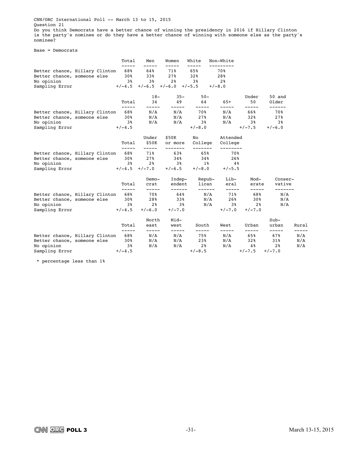CNN/ORC International Poll -- March 13 to 15, 2015 Question 21 Do you think Democrats have a better chance of winning the presidency in 2016 if Hillary Clinton<br>is the party's nominee or do they have a better chance of winning with someone else as the party's nominee?

Base = Democrats

|                                                               |  | Total                  | Men                     | Women                               | White               | Non-White      |                |                   |       |
|---------------------------------------------------------------|--|------------------------|-------------------------|-------------------------------------|---------------------|----------------|----------------|-------------------|-------|
| Better chance, Hillary Clinton<br>Better chance, someone else |  | -----<br>68%<br>$30\%$ | -----<br>64%<br>33%     | -----<br>71%<br>27%                 | -----<br>65%<br>32% | 70%<br>28%     |                |                   |       |
| No opinion                                                    |  | 38                     | 3%                      | 2 <sup>8</sup>                      | 3%                  | 2 <sup>8</sup> |                |                   |       |
| Sampling Error                                                |  |                        |                         | $+/-4.5$ $+/-6.5$ $+/-6.0$ $+/-5.5$ |                     | $+/-8.0$       |                |                   |       |
|                                                               |  | Total                  | $18-$<br>34             | $35 -$<br>49                        | $50 -$<br>64        | $65+$          | Under<br>50    | 50 and<br>Older   |       |
|                                                               |  | -----                  | -----                   | -----                               | -----               |                | -----          | ------            |       |
| Better chance, Hillary Clinton 68%                            |  |                        | $\mathrm{N}/\mathrm{A}$ | N/A                                 | 70%-                | N/A            | 66%            | 70월               |       |
| Better chance, someone else                                   |  | 30%                    | N/A                     | N/A                                 | 27%                 | N/A            | 32%            | 27%               |       |
| No opinion                                                    |  | 3%                     | N/A                     | N/A                                 | 38                  | N/A            | 38             | 38                |       |
| Sampling Error                                                |  | $+/-4.5$               |                         |                                     | $+/-8.0$            |                | $+/-7.5$       | $+/-6.0$          |       |
|                                                               |  |                        | Under                   | \$50K                               | No                  | Attended       |                |                   |       |
|                                                               |  | Total                  | \$50K<br>-----          | or more                             | College             | College        |                |                   |       |
| Better chance, Hillary Clinton                                |  | -----                  | 68% 71%                 | -------<br>63%                      | -------<br>65%      | 70%            |                |                   |       |
| Better chance, someone else                                   |  | 30%                    | $27\%$                  | 34%                                 | 34%                 | 26%            |                |                   |       |
| No opinion                                                    |  | 3 <sup>8</sup>         | 2 <sup>8</sup>          | 3 <sup>8</sup>                      | $1\,$ %             | $4\,$ $8$      |                |                   |       |
| Sampling Error $+/-4.5$ $+/-7.0$                              |  |                        |                         | $+/-6.5$                            | $+/-8.0$            | $+/-5.5$       |                |                   |       |
|                                                               |  |                        | Demo-                   | Indep-                              | Repub-              | Lib-           | Mod-           | Conser-           |       |
|                                                               |  | Total<br>-----         | crat<br>$- - - - -$     | endent<br>------                    | lican<br>------     | eral<br>-----  | erate          | vative<br>------- |       |
| Better chance, Hillary Clinton                                |  | 688                    | 70%                     | 64%                                 |                     | N/A 71%        | -----<br>68%   | N/A               |       |
| Better chance, someone else                                   |  | 30%                    | 28%                     | 33%                                 | N/A                 | 26%            | 30%            | N/A               |       |
| No opinion                                                    |  | 3 <sup>8</sup>         | 2 <sup>8</sup>          | 38                                  | N/A                 |                | $3\%$ 2%       | N/A               |       |
| Sampling Error                                                |  | $+/-4.5$               | $+/-6.0$                | $+/-7.0$                            |                     | $+/-7.0$       | $+/-7.0$       |                   |       |
|                                                               |  |                        | North                   | Mid-                                |                     |                |                | $Sub-$            |       |
|                                                               |  | Total<br>-----         | east<br>-----           | west<br>-----                       | South<br>-----      | West           | Urban<br>----- | urban<br>-----    | Rural |
| Better chance, Hillary Clinton                                |  | 68%                    | $\mathrm{N}/\mathrm{A}$ | N/A                                 | 75%                 | N/A            | 65%            | 67%               | N/A   |
| Better chance, someone else 30%                               |  |                        | N/A                     | N/A                                 | 23%                 | N/A            | 32%            | 31%               | N/A   |
| No opinion                                                    |  | 38                     | N/A                     | N/A                                 | 2 %                 | N/A            | $4\,$ $8$      | 2 <sup>8</sup>    | N/A   |
| Sampling Error                                                |  | $+/-4.5$               |                         |                                     | $+/-8.5$            |                | $+/-7.5$       | $+/-7.0$          |       |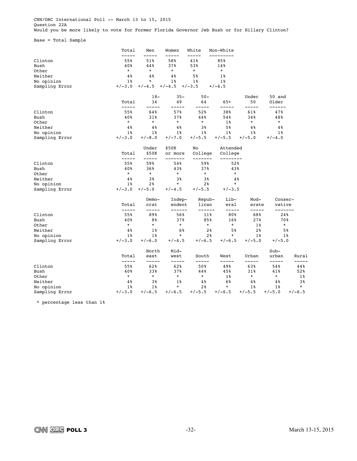CNN/ORC International Poll -- March 13 to 15, 2015 Question 22A .<br>Would you be more likely to vote for Former Florida Governor Jeb Bush or for Hillary Clinton?

Base = Total Sample

|                | Total          | Men            | Women              | White              | Non-White            |                |                |          |
|----------------|----------------|----------------|--------------------|--------------------|----------------------|----------------|----------------|----------|
| Clinton        | 55%            | 51%            | 58%                | 41%                | 85%                  |                |                |          |
| Bush           | 40%            | 44%            | 37%                | 53%                | 14%                  |                |                |          |
| Other          | $\star$        | $\star$        | $\star$            | $\star$            | $\star$              |                |                |          |
| Neither        | 4%             | $4\%$          | $4\%$              | 5%                 | $1\%$                |                |                |          |
| No opinion     | $1\%$          | $\ast$         | $1\%$              | $1\%$              | $1\%$                |                |                |          |
| Sampling Error | $+/-3.0$       | $+/-4.5$       | $+/-4.5$           | $+/-3.5$           | $+/-6.5$             |                |                |          |
|                |                | $18-$          | $35 -$             | $50 -$             |                      | Under          | 50 and         |          |
|                | Total          | 34             | 49                 | 64                 | $65+$                | 50             | Older          |          |
| Clinton        | -----<br>55%   | -----<br>64%   | ----<br>57%        | -----<br>52%       | 38%                  | -----<br>61%   | ------<br>47%  |          |
| Bush           | 40%            | 31%            | 37%                | 44%                | 54%                  | 34%            | 48%            |          |
| Other          | $^\star$       | $^\star$       | $\star$            | $^\star$           | $1\%$                | $^\star$       | $\star$        |          |
| Neither        | 4%             | 4%             | 4%                 | 3%                 | 5%                   | 4%             | 4%             |          |
| No opinion     | $1\%$          | $1\%$          | $1\%$              | $1\%$              | $1\%$                | $1\%$          | $1\%$          |          |
| Sampling Error | $+/-3.0$       | $+/-8.0$       | $+/-7.0$           | $+/-5.5$           | $+/-5.5$             | $+/-5.0$       | $+/-4.0$       |          |
|                |                | Under          | \$50K              | No                 | Attended             |                |                |          |
|                | Total<br>----- | \$50K<br>----- | or more<br>------- | College<br>------- | College<br>--------- |                |                |          |
| Clinton        | 55%            | 59%            | 54%                | 59%                | 52%                  |                |                |          |
| Bush           | 40%            | 36%            | 43%                | 37%                | 43%                  |                |                |          |
| Other          | $\star$        | $\star$        | $\star$            | $\star$            | $^\star$             |                |                |          |
| Neither        | $4\%$          | 3%             | 3%                 | 3%                 | $4\%$                |                |                |          |
| No opinion     | $1\%$          | 2 <sub>8</sub> | $\star$            | 2 <sub>8</sub>     | $^\star$             |                |                |          |
| Sampling Error | $+/-3.0$       | $+/-5.0$       | $+/-4.5$           | $+/-5.5$           | $+/-3.5$             |                |                |          |
|                |                | Demo-          | Indep-             | Repub-             | Lib-                 | Mod-           | Conser-        |          |
|                | Total          | crat           | endent             | lican              | eral                 | erate          | vative         |          |
| Clinton        | -----<br>55%   | -----<br>89%   | ------<br>56%      | ------<br>11%      | $- - - - -$<br>80%   | -----<br>68%   | -------<br>24% |          |
| Bush           | 40%            | 8%             | 37%                | 85%                | 16%                  | 27%            | 70%            |          |
| Other          | $\star$        | $\star$        | $^\star$           | $\star$            | $\star$              | $1\%$          | $\star$        |          |
| Neither        | 4%             | $1\%$          | 6%                 | 2 <sup>8</sup>     | 5%                   | 2%             | 5%             |          |
| No opinion     | $1\%$          | $1\%$          | $\star$            | 2 <sup>8</sup>     | $\star$              | $1\%$          | $1\%$          |          |
| Sampling Error | $+/-3.0$       | $+/-6.0$       | $+/-4.5$           | $+/-6.5$           | $+/-6.5$             | $+/-5.0$       | $+/-5.0$       |          |
|                |                | North          | Mid-               |                    |                      |                | $Sub-$         |          |
|                | Total<br>----- | east<br>-----  | west               | South<br>-----     | West<br>---          | Urban<br>----- | urban<br>----- | Rural    |
| Clinton        | 55%            | 62%            | -----<br>62%       | 50%                | 49%                  | 63%            | 54%            | 44%      |
| Bush           | 40%            | 33%            | 37%                | 44%                | 45%                  | 31%            | 41%            | 52%      |
| Other          | $\star$        | $\star$        | $\star$            | $\star$            | $1\%$                | $\star$        | $^\star$       | $1\%$    |
| Neither        | 4%             | 3%             | $1\%$              | 4%                 | 6%                   | 4%             | 4%             | 3%       |
| No opinion     | $1\%$          | 1%             | $\star$            | 2%                 | $\star$              | 1%             | 1%             | $\star$  |
| Sampling Error | $+/-3.0$       | $+/-6.5$       | $+/-6.5$           | $+/-5.5$           | $+/-6.5$             | $+/-5.5$       | $+/-5.0$       | $+/-6.5$ |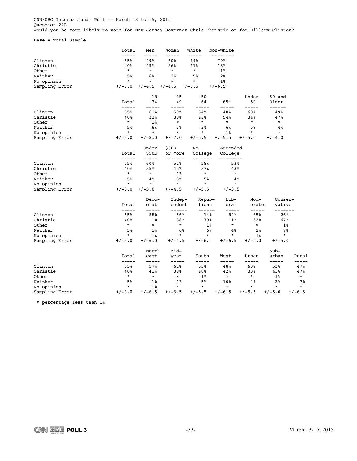CNN/ORC International Poll -- March 13 to 15, 2015 Question 22B .<br>Would you be more likely to vote for New Jersey Governor Chris Christie or for Hillary Clinton?

Base = Total Sample

|                | Total              | Men            | Women              | White           | Non-White           |                |                   |          |
|----------------|--------------------|----------------|--------------------|-----------------|---------------------|----------------|-------------------|----------|
| Clinton        | 55%                | 49%            | 60%                | 44%             | 79%                 |                |                   |          |
| Christie       | 40%                | 45%            | 36%                | 51%             | 18%                 |                |                   |          |
| Other          | $\star$            | $\star$        | $\star$            | $^\star$        | $1\%$               |                |                   |          |
| Neither        | 5%                 | 6%             | 3%                 | 5%              | 2 <sup>8</sup>      |                |                   |          |
| No opinion     | $\star$            | $\star$        | $\star$            | $\star$         | $1\%$               |                |                   |          |
| Sampling Error | $+/-3.0$           | $+/-4.5$       | $+/-4.5$           | $+/-3.5$        | $+/-6.5$            |                |                   |          |
|                |                    | $18-$          | $35 -$             | $50 -$          |                     | Under          | 50 and            |          |
|                | Total<br>-----     | 34<br>-----    | 49<br>----         | 64<br>-----     | $65+$<br>-----      | 50<br>-----    | Older<br>------   |          |
| Clinton        | 55%                | 61%            | 59%                | 54%             | 40%                 | 60%            | 49%               |          |
| Christie       | 40%                | 32%            | 38%                | 43%             | 54%                 | 34%            | 47%               |          |
| Other          | $\star$            | $1\%$          | $\star$            | $\star$         | $\star$             | $^\star$       | $\star$           |          |
| Neither        | 5%                 | 6%             | 3%                 | 3%              | 6%                  | 5%             | 4%                |          |
| No opinion     | $^\star$           | ¥              | $\star$            | *               | $1\%$               | $^\star$       | $\star$           |          |
| Sampling Error | $+/-3.0$           | $+/-8.0$       | $+/-7.0$           | $+/-5.5$        | $+/-5.5$            | $+/-5.0$       | $+/-4.0$          |          |
|                |                    | Under          | \$50K              | No              | Attended            |                |                   |          |
|                | Total<br>$--- - -$ | \$50K<br>----- | or more<br>------- | College<br>---- | College<br>-------- |                |                   |          |
| Clinton        | 55%                | 60%            | 51%                | 58%             | 53%                 |                |                   |          |
| Christie       | 40%                | 35%            | 45%                | 37%             | 43%                 |                |                   |          |
| Other          | $\star$            | $\star$        | $1\%$              | $^\star$        | $\star$             |                |                   |          |
| Neither        | 5%                 | $4\%$          | 3%                 | 5%              | $4\%$               |                |                   |          |
| No opinion     | $^\star$           | $^\star$       | $\star$            | $^\star$        | $\star$             |                |                   |          |
| Sampling Error | $+/-3.0$           | $+/-5.0$       | $+/-4.5$           | $+/-5.5$        | $+/-3.5$            |                |                   |          |
|                |                    | Demo-          | Indep-             | Repub-          | Lib-                | Mod-           | Conser-           |          |
|                | Total<br>-----     | crat<br>-----  | endent<br>------   | lican<br>------ | eral<br>-----       | erate<br>----- | vative<br>------- |          |
| Clinton        | 55%                | 88%            | 56%                | 14%             | 84%                 | 65%            | 26%               |          |
| Christie       | 40%                | 11%            | 38%                | 79%             | 11%                 | 32%            | 67%               |          |
| Other          | $\star$            | $\star$        | $^\star$           | $1\%$           | $\star$             | $\star$        | $1\%$             |          |
| Neither        | 5%                 | $1\%$          | 6%                 | 6%              | 4%                  | 2 <sup>8</sup> | 7%                |          |
| No opinion     | $\star$            | $1\%$          | $\star$            | $\star$         | $\star$             | $1\%$          | $\star$           |          |
| Sampling Error | $+/-3.0$           | $+/-6.0$       | $+/-4.5$           | $+/-6.5$        | $+/-6.5$            | $+/-5.0$       | $+/-5.0$          |          |
|                |                    | North          | Mid-               |                 |                     |                | $Sub-$            |          |
|                | Total<br>-----     | east<br>-----  | west<br>-----      | South           | West<br>---         | Urban<br>----- | urban<br>-----    | Rural    |
| Clinton        | 55%                | 57%            | 61%                | 55%             | 48%                 | 63%            | 53%               | 47%      |
| Christie       | 40%                | 41%            | 38%                | 40%             | 42%                 | 33%            | 43%               | 47%      |
| Other          | $\star$            | $\star$        | $\star$            | $1\%$           | $\star$             | $^\star$       | $1\%$             | $\star$  |
| Neither        | 5%                 | $1\%$          | $1\%$              | 5%              | 10%                 | 4 <sup>°</sup> | 3%                | 7%       |
| No opinion     | $\star$            | $1\%$          | $\star$            | $\star$         | $\star$             | $\star$        | $\star$           | $\star$  |
| Sampling Error | $+/-3.0$           | $+/-6.5$       | $+/-6.5$           | $+/-5.5$        | $+/-6.5$            | $+/-5.5$       | $+/-5.0$          | $+/-6.5$ |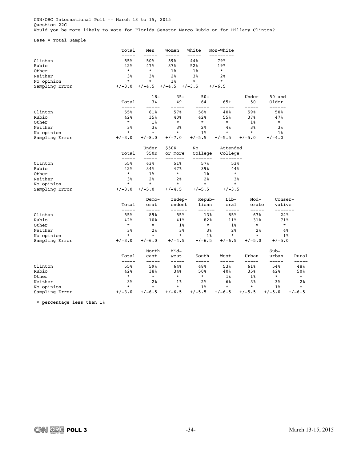CNN/ORC International Poll -- March 13 to 15, 2015 Question 22C .<br>Would you be more likely to vote for Florida Senator Marco Rubio or for Hillary Clinton?

Base = Total Sample

|                | Total          | Men            | Women              | White              | Non-White           |                |                   |                |
|----------------|----------------|----------------|--------------------|--------------------|---------------------|----------------|-------------------|----------------|
| Clinton        | 55%            | 50%            | 59%                | 44%                | 79%                 |                |                   |                |
| Rubio          | 42%            | 47%            | 37%                | 52%                | 19%                 |                |                   |                |
| Other          | $\star$        | $\star$        | $1\%$              | $1\%$              | $\star$             |                |                   |                |
| Neither        | 3%             | 3%             | 2 <sub>8</sub>     | 3%                 | 2 <sup>8</sup>      |                |                   |                |
| No opinion     | $\star$        | $\star$        | $1\%$              | $^\star$           | $\star$             |                |                   |                |
| Sampling Error | $+/-3.0$       | $+/-4.5$       | $+/-4.5$           | $+/-3.5$           | $+/-6.5$            |                |                   |                |
|                |                | $18-$          | $35 -$             | $50 -$             |                     | Under          | 50 and            |                |
|                | Total<br>----- | 34<br>----     | 49                 | 64<br>-----        | $65+$<br>-----      | 50<br>-----    | Older<br>------   |                |
| Clinton        | 55%            | 61%            | 57%                | 56%                | 40%                 | 59%            | 50%               |                |
| Rubio          | 42%            | 35%            | 40%                | 42%                | 55%                 | 37%            | 47%               |                |
| Other          | $\star$        | $1\%$          | $^\star$           | $\star$            | $\star$             | $1\%$          | $\star$           |                |
| Neither        | 3%             | 3%             | 3%                 | 2 <sup>8</sup>     | 4%                  | 38             | 3%                |                |
| No opinion     | $\star$        | $\star$        | $^\star$           | $1\%$              | $\star$             | $\star$        | $1\%$             |                |
| Sampling Error | $+/-3.0$       | $+/-8.0$       | $+/-7.0$           | +/-5.5             | $+/-5.5$            | $+/-5.0$       | $+/-4.0$          |                |
|                |                | Under          | \$50K              | No                 | Attended            |                |                   |                |
|                | Total<br>----- | \$50K<br>----- | or more<br>------- | College<br>------- | College<br>-------- |                |                   |                |
| Clinton        | 55%            | 63%            | 51%                | 57%                | 53%                 |                |                   |                |
| Rubio          | 42%            | 34%            | 47%                | 39%                | 44%                 |                |                   |                |
| Other          | $\star$        | $1\%$          | $^{\star}$         | $1\%$              | $\star$             |                |                   |                |
| Neither        | 3%             | 2%             | 2%                 | 2%                 | 3%                  |                |                   |                |
| No opinion     | $\star$        | $\star$        | $^\star$           | $\star$            | $\star$             |                |                   |                |
| Sampling Error | $+/-3.0$       | $+/-5.0$       | $+/-4.5$           | $+/-5.5$           | $+/-3.5$            |                |                   |                |
|                |                | Demo-          | Indep-             | Repub-             | Lib-                | Mod-           | Conser-           |                |
|                | Total<br>----- | crat<br>-----  | endent<br>------   | lican<br>------    | eral<br>-----       | erate<br>----- | vative<br>------- |                |
| Clinton        | 55%            | 89%            | 55%                | 13%                | 85%                 | 67%            | 24%               |                |
| Rubio          | 42%            | 10%            | 41%                | 82%                | 11%                 | 31%            | 71%               |                |
| Other          | $\star$        | $\star$        | $1\%$              | $\star$            | $1\%$               | $^\star$       | $\star$           |                |
| Neither        | 3%             | 2 <sub>8</sub> | 3%                 | 3%                 | 2%                  | 2 <sub>8</sub> | 4%                |                |
| No opinion     | $\star$        | $\star$        | $\star$            | $1\%$              | $\star$             | $\star$        | $1\%$             |                |
| Sampling Error | $+/-3.0$       | $+/-6.0$       | $+/-4.5$           | $+/-6.5$           | $+/-6.5$            | $+/-5.0$       | $+/-5.0$          |                |
|                |                | North          | Mid-               |                    |                     |                | $Sub-$            |                |
|                | Total<br>----- | east<br>-----  | west<br>-----      | South              | West<br>---         | Urban<br>----- | urban<br>-----    | Rural          |
| Clinton        | 55%            | 59%            | 64%                | 48%                | 53%                 | 61%            | 54%               | 48%            |
| Rubio          | 42%            | 38%            | 34%                | 50%                | 40%                 | 35%            | 42%               | 50%            |
| Other          | $^\star$       | $\star$        | $^\star$           | $^\star$           | $1\%$               | $1\%$          | $^\star$          | $\star$        |
| Neither        | 3%             | 2 <sup>8</sup> | $1\%$              | 2 <sup>8</sup>     | 6%                  | 3%             | 3%                | 2 <sup>8</sup> |
| No opinion     | $\star$        | $\star$        | $\star$            | $1\%$              | $\star$             | $\star$        | $1\%$             | $\star$        |
| Sampling Error | $+/-3.0$       | $+/-6.5$       | $+/-6.5$           | $+/-5.5$           | $+/-6.5$            | $+/-5.5$       | $+/-5.0$          | $+/-6.5$       |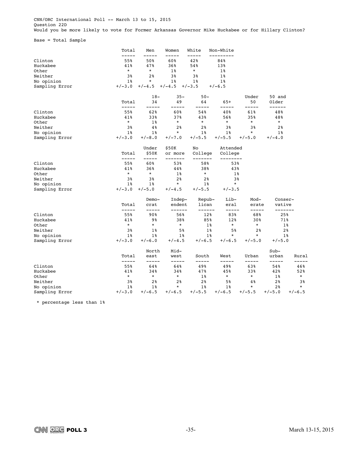CNN/ORC International Poll -- March 13 to 15, 2015 Question 22D Would you be more likely to vote for Former Arkansas Governor Mike Huckabee or for Hillary Clinton?

Base = Total Sample

|                                                                         | Total                                            | Men                                                       | Women                                          | White                                             | Non-White                                         |                              |                                  |                           |
|-------------------------------------------------------------------------|--------------------------------------------------|-----------------------------------------------------------|------------------------------------------------|---------------------------------------------------|---------------------------------------------------|------------------------------|----------------------------------|---------------------------|
| Clinton<br>Huckabee<br>Other<br>Neither<br>No opinion<br>Sampling Error | 55%<br>41%<br>$\star$<br>3%<br>$1\%$<br>$+/-3.0$ | 50%<br>47%<br>$^\star$<br>2 <sup>8</sup><br>*<br>$+/-4.5$ | 60%<br>36%<br>$1\%$<br>3%<br>$1\%$<br>$+/-4.5$ | 42%<br>54%<br>$^\star$<br>3%<br>$1\%$<br>$+/-3.5$ | 84%<br>13%<br>$1\%$<br>$1\%$<br>$1\%$<br>$+/-6.5$ |                              |                                  |                           |
|                                                                         | Total                                            | $18-$<br>34                                               | $35 -$<br>49                                   | $50 -$<br>64                                      | $65+$                                             | Under<br>50                  | 50 and<br>Older                  |                           |
| Clinton<br>Huckabee                                                     | -----<br>55%<br>41%                              | -----<br>62%<br>33%                                       | ----<br>60%<br>37%                             | -----<br>54%<br>43%                               | -----<br>40%<br>56%                               | -----<br>61%<br>35%          | ------<br>48%<br>48%             |                           |
| Other<br>Neither                                                        | $^\star$<br>3%                                   | $1\%$<br>4%                                               | $^{\star}$<br>2 <sup>8</sup>                   | $\star$<br>2 <sub>8</sub>                         | $\star$<br>3%                                     | $\star$<br>3%                | $\star$<br>2 <sub>8</sub>        |                           |
| No opinion<br>Sampling Error                                            | $1\%$<br>$+/-3.0$                                | $1\%$<br>$+/-8.0$                                         | $^\star$<br>$+/-7.0$                           | $1\%$<br>$+/-5.5$                                 | $1\%$<br>$+/-5.5$                                 | $\star$<br>$+/-5.0$          | $1\%$<br>$+/-4.0$                |                           |
|                                                                         | Total                                            | Under<br>\$50K                                            | \$50K<br>or more                               | No<br>College                                     | Attended<br>College                               |                              |                                  |                           |
| Clinton<br>Huckabee                                                     | -----<br>55%<br>41%                              | -----<br>60%<br>36%                                       | -------<br>53%<br>44%                          | -------<br>58%<br>38%                             | 53%<br>43%                                        |                              |                                  |                           |
| Other<br>Neither<br>No opinion                                          | $\star$<br>3%<br>$1\%$                           | $\star$<br>3%<br>$1\%$                                    | $1\%$<br>2 <sup>8</sup><br>$\star$             | $\star$<br>2 <sub>8</sub><br>$1\%$                | $1\%$<br>3%<br>$\star$                            |                              |                                  |                           |
| Sampling Error                                                          | $+/-3.0$                                         | $+/-5.0$<br>Demo-                                         | $+/-4.5$<br>Indep-                             | $+/-5.5$<br>Repub-                                | $+/-3.5$<br>Lib-                                  | $Mod-$                       | Conser-                          |                           |
|                                                                         | Total<br>-----                                   | crat<br>-----                                             | endent<br>------                               | lican<br>------                                   | eral<br>-----                                     | erate<br>-----               | vative<br>-------                |                           |
| Clinton<br>Huckabee                                                     | 55%<br>41%<br>$^\star$                           | 90%<br>9%<br>¥                                            | 56%<br>38%<br>$\star$                          | 12%<br>85%                                        | 83%<br>12%<br>$\star$                             | 68%<br>30%<br>$\star$        | 25%<br>71%                       |                           |
| Other<br>Neither<br>No opinion                                          | 3%<br>$1\%$                                      | $1\%$<br>$1\%$                                            | 5%<br>$1\%$                                    | $1\%$<br>$1\%$<br>$1\%$                           | 5%<br>$\star$                                     | 2 <sup>8</sup><br>$\star$    | $1\%$<br>2%<br>$1\%$             |                           |
| Sampling Error                                                          | $+/-3.0$<br>Total                                | $+/-6.0$<br>North<br>east                                 | $+/-4.5$<br>Mid-                               | $+/-6.5$                                          | $+/-6.5$                                          | $+/-5.0$<br>Urban            | $+/-5.0$<br>$Sub-$               |                           |
|                                                                         | -----                                            | -----                                                     | west<br>-----                                  | South<br>-----                                    | West<br>-----                                     | -----                        | urban<br>-----                   | Rural                     |
| Clinton<br>Huckabee<br>Other                                            | 55%<br>41%<br>$^\star$                           | 64%<br>34%<br>$\star$                                     | 64%<br>34%<br>$\star$                          | 49%<br>47%<br>$1\%$                               | 49%<br>45%<br>$\star$                             | 63%<br>33%<br>$\star$        | 54%<br>42%<br>$1\%$              | 46%<br>52%<br>$\star$     |
| Neither<br>No opinion<br>Sampling Error                                 | 3%<br>$1\%$<br>$+/-3.0$                          | 2%<br>$1\%$<br>$+/-6.5$                                   | 2%<br>$\star$<br>$+/-6.5$                      | 2%<br>$1\%$<br>$+/-5.5$                           | 5%<br>$1\%$<br>$+/-6.5$                           | $4\,$<br>$\star$<br>$+/-5.5$ | 2%<br>2 <sup>8</sup><br>$+/-5.0$ | 3%<br>$\star$<br>$+/-6.5$ |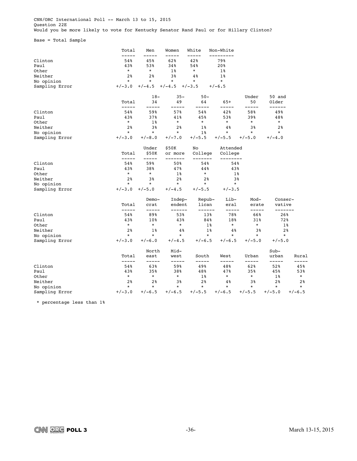CNN/ORC International Poll -- March 13 to 15, 2015 Question 22E .<br>Would you be more likely to vote for Kentucky Senator Rand Paul or for Hillary Clinton?

Base = Total Sample

|                | Total          | Men            | Women            | White           | Non-White           |                |                   |                |
|----------------|----------------|----------------|------------------|-----------------|---------------------|----------------|-------------------|----------------|
| Clinton        | 54%            | 45%            | 62%              | 42%             | 79%                 |                |                   |                |
| Paul           | 43%            | 53%            | 34%              | 54%             | 20%                 |                |                   |                |
| Other          | $\star$        | $\star$        | $1\%$            | $^\star$        | $1\%$               |                |                   |                |
| Neither        | 2 <sup>8</sup> | 2 <sup>8</sup> | 3%               | $4\%$           | $1\%$               |                |                   |                |
| No opinion     | $\star$        | $\star$        | $\star$          | $\star$         | $\star$             |                |                   |                |
| Sampling Error | $+/-3.0$       | $+/-4.5$       | $+/-4.5$         | $+/-3.5$        | $+/-6.5$            |                |                   |                |
|                |                | $18-$          | $35 -$           | $50 -$          |                     | Under          | 50 and            |                |
|                | Total<br>----- | 34             | 49               | 64              | $65+$               | 50<br>----     | Older<br>------   |                |
| Clinton        | 54%            | 59%            | 57%              | 54%             | 42%                 | 58%            | 49%               |                |
| Paul           | 43%            | 37%            | 41%              | 45%             | 53%                 | 39%            | 48%               |                |
| Other          | $\star$        | $1\%$          | $^{\star}$       | $^\star$        | $^\star$            | $^\star$       | $\star$           |                |
| Neither        | 2 <sup>8</sup> | 3%             | 2 <sup>8</sup>   | $1\%$           | 4%                  | 38             | 2%                |                |
| No opinion     | $\star$        | $\star$        | $\star$          | $1\%$           | $\star$             | $\star$        | $\star$           |                |
| Sampling Error | $+/-3.0$       | $+/-8.0$       | $+/-7.0$         | $+/-5.5$        | $+/-5.5$            | $+/-5.0$       | $+/-4.0$          |                |
|                |                | Under          | \$50K            | No              | Attended            |                |                   |                |
|                | Total<br>----- | \$50K<br>$---$ | or more          | College         | College<br>-------- |                |                   |                |
| Clinton        | 54%            | 59%            | 50%              | 54%             | 54%                 |                |                   |                |
| Paul           | 43%            | 38%            | 47%              | 44%             | 43%                 |                |                   |                |
| Other          | $\star$        | $\star$        | $1\%$            | $^\star$        | $1\%$               |                |                   |                |
| Neither        | 2 <sup>8</sup> | 3%             | 2 <sup>8</sup>   | 2%              | 3%                  |                |                   |                |
| No opinion     | $\star$        | $\star$        | $^\star$         | $\star$         | $\star$             |                |                   |                |
| Sampling Error | $+/-3.0$       | $+/-5.0$       | $+/-4.5$         | $+/-5.5$        | $+/-3.5$            |                |                   |                |
|                |                | Demo-          | Indep-           | Repub-          | Lib-                | Mod-           | Conser-           |                |
|                | Total<br>----- | crat<br>-----  | endent<br>------ | lican<br>------ | eral<br>-----       | erate<br>----- | vative<br>------- |                |
| Clinton        | 54%            | 89%            | 53%              | 13%             | 78%                 | 66%            | 26%               |                |
| Paul           | 43%            | 10%            | 43%              | 84%             | 18%                 | 31%            | 72%               |                |
| Other          | $\star$        | $\star$        | $^\star$         | $1\%$           | $^\star$            | $\star$        | $1\%$             |                |
| Neither        | 2 <sup>8</sup> | $1\%$          | 4%               | $1\%$           | 4%                  | 3%             | 2 <sub>8</sub>    |                |
| No opinion     | $\star$        | $\star$        | $\star$          | $\star$         | $\star$             | $\star$        | $\star$           |                |
| Sampling Error | $+/-3.0$       | $+/-6.0$       | $+/-4.5$         | $+/-6.5$        | $+/-6.5$            | $+/-5.0$       | $+/-5.0$          |                |
|                |                | North          | Mid-             |                 |                     |                | $Sub-$            |                |
|                | Total<br>----- | east<br>-----  | west<br>-----    | South           | West<br>---         | Urban<br>----- | urban<br>-----    | Rural          |
| Clinton        | 54%            | 63%            | 59%              | 49%             | 48%                 | 62%            | 52%               | 45%            |
| Paul           | 43%            | 35%            | 38%              | 48%             | 47%                 | 35%            | 45%               | 53%            |
| Other          | $\star$        | $\star$        | $\star$          | $1\%$           | $\star$             | $^\star$       | $1\%$             | $\star$        |
| Neither        | 2 <sup>8</sup> | 2 <sup>8</sup> | 3%               | 2 <sup>8</sup>  | 4%                  | 3%             | 2 <sup>°</sup>    | 2 <sup>8</sup> |
| No opinion     | $\star$        | $\star$        | $\star$          | $\star$         | $\star$             | $\star$        | $\star$           | $\star$        |
| Sampling Error | $+/-3.0$       | $+/-6.5$       | $+/-6.5$         | $+/-5.5$        | $+/-6.5$            | $+/-5.5$       | $+/-5.0$          | $+/-6.5$       |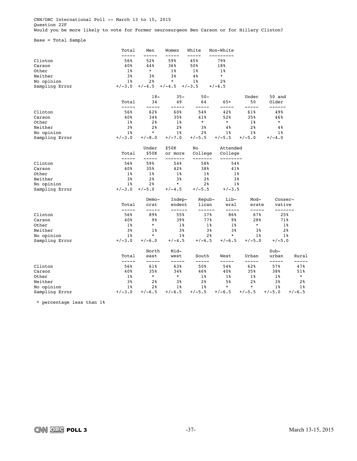CNN/ORC International Poll -- March 13 to 15, 2015 Question 22F Would you be more likely to vote for Former neurosurgeon Ben Carson or for Hillary Clinton?

Base = Total Sample

|                | Total                | Men            | Women            | White           | Non-White           |                |                   |                |
|----------------|----------------------|----------------|------------------|-----------------|---------------------|----------------|-------------------|----------------|
| Clinton        | 56%                  | 52%            | 59%              | 45%             | 79%                 |                |                   |                |
| Carson         | 40%                  | 44%            | 36%              | 50%             | 18%                 |                |                   |                |
| Other          | $1\%$                | $^\star$       | $1\%$            | 1%              | $1\%$               |                |                   |                |
| Neither        | 3%                   | 3%             | 3%               | $4\%$           | $\star$             |                |                   |                |
| No opinion     | $1\%$                | 2 <sup>8</sup> | $\star$          | $1\%$           | 2 <sup>8</sup>      |                |                   |                |
| Sampling Error | $+/-3.0$             | $+/-4.5$       | $+/-4.5$         | $+/-3.5$        | $+/-6.5$            |                |                   |                |
|                |                      | $18-$          | $35 -$           | $50 -$          |                     | Under          | 50 and            |                |
|                | Total<br>-----       | 34<br>---      | 49               | 64              | $65+$<br>----       | 50<br>-----    | Older<br>------   |                |
| Clinton        | 56%                  | 62%            | 60%              | 54%             | 42%                 | 61%            | 49%               |                |
| Carson         | 40%                  | 34%            | 35%              | 41%             | 52%                 | 35%            | 46%               |                |
| Other          | $1\%$                | 2%             | $1\%$            | $\star$         | $\star$             | $1\%$          | $\star$           |                |
| Neither        | 3%                   | 2 <sup>°</sup> | 2 <sup>8</sup>   | 3%              | 4%                  | 2%             | $4\,$             |                |
| No opinion     | $1\%$                | $\star$        | $1\%$            | 2%              | $1\%$               | $1\%$          | $1\%$             |                |
| Sampling Error | $+/-3.0$             | $+/-8.0$       | $+/-7.0$         | $+/-5.5$        | $+/-5.5$            | $+/-5.0$       | $+/-4.0$          |                |
|                |                      | Under          | \$50K            | No              | Attended            |                |                   |                |
|                | Total<br>-----       | \$50K<br>----- | or more          | College<br>---- | College<br>-------- |                |                   |                |
| Clinton        | 56%                  | 59%            | 54%              | 58%             | 54%                 |                |                   |                |
| Carson         | 40%                  | 35%            | 42%              | 38%             | 41%                 |                |                   |                |
| Other          | 1%                   | $1\%$          | $1\%$            | 1%              | $1\%$               |                |                   |                |
| Neither        | 3%                   | 2%             | 3%               | 2 <sub>8</sub>  | 3%                  |                |                   |                |
| No opinion     | $1\%$                | 2 <sup>8</sup> | $\star$          | 2 <sup>8</sup>  | $1\%$               |                |                   |                |
| Sampling Error | $+/-3.0$             | $+/-5.0$       | $+/-4.5$         | $+/-5.5$        | $+/-3.5$            |                |                   |                |
|                |                      | Demo-          | Indep-           | Repub-          | Lib-                | Mod-           | Conser-           |                |
|                | Total<br>$- - - - -$ | crat<br>-----  | endent<br>------ | lican<br>------ | eral<br>$- - - - -$ | erate<br>----- | vative<br>------- |                |
| Clinton        | 56%                  | 89%            | 55%              | 17%             | 86%                 | 67%            | 25%               |                |
| Carson         | 40%                  | 9%             | 39%              | 77%             | 9%                  | 28%            | 71%               |                |
| Other          | $1\%$                | $\star$        | $1\%$            | $1\%$           | $1\%$               | $^\star$       | $1\%$             |                |
| Neither        | 3%                   | $1\,$          | 3%               | 3%              | 3%                  | 3%             |                   | 2%             |
| No opinion     | $1\%$                | $\star$        | $1\%$            | 2%              | $\star$             | $1\%$          | $1\%$             |                |
| Sampling Error | $+/-3.0$             | $+/-6.0$       | $+/-4.5$         | $+/-6.5$        | $+/-6.5$            | $+/-5.0$       | $+/-5.0$          |                |
|                |                      | North          | Mid-             |                 |                     |                | $Sub-$            |                |
|                | Total<br>-----       | east<br>-----  | west<br>-----    | South<br>-----  | West<br>-----       | Urban<br>----- | urban<br>-----    | Rural          |
| Clinton        | 56%                  | 61%            | 63%              | 50%             | 54%                 | 62%            | 57%               | 47%            |
| Carson         | 40%                  | 35%            | 34%              | 46%             | 40%                 | 35%            | 38%               | 51%            |
| Other          | 1%                   | $^\star$       | $\star$          | 1%              | 1%                  | 1%             | 1%                | $^{\star}$     |
| Neither        | 3%                   | 2 <sup>8</sup> | 3%               | 2%              | 5%                  | 2 <sup>8</sup> | 3%                | 2 <sup>8</sup> |
| No opinion     | $1\%$                | 2 <sub>8</sub> | $1\%$            | $1\%$           | $\star$             | $\star$        | $1\%$             | $1\%$          |
| Sampling Error | $+/-3.0$             | $+/-6.5$       | $+/-6.5$         | $+/-5.5$        | $+/-6.5$            | $+/-5.5$       | $+/-5.0$          | $+/-6.5$       |